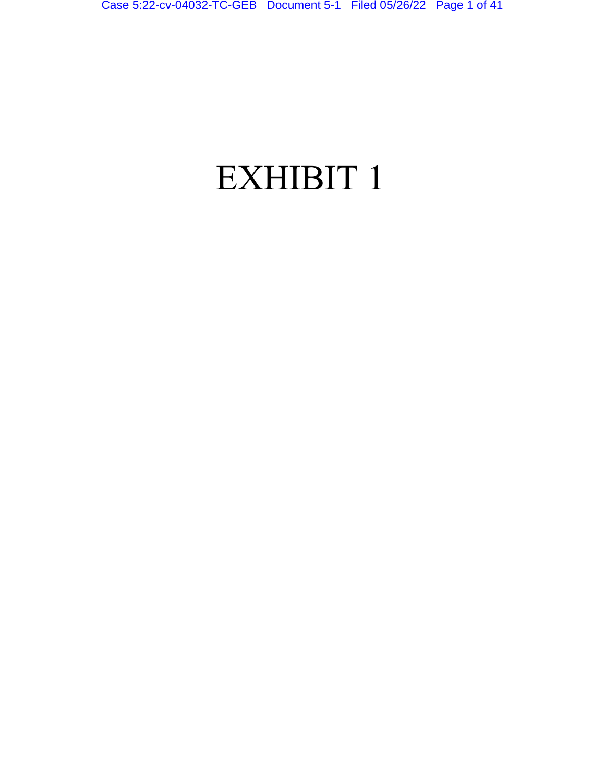# EXHIBIT 1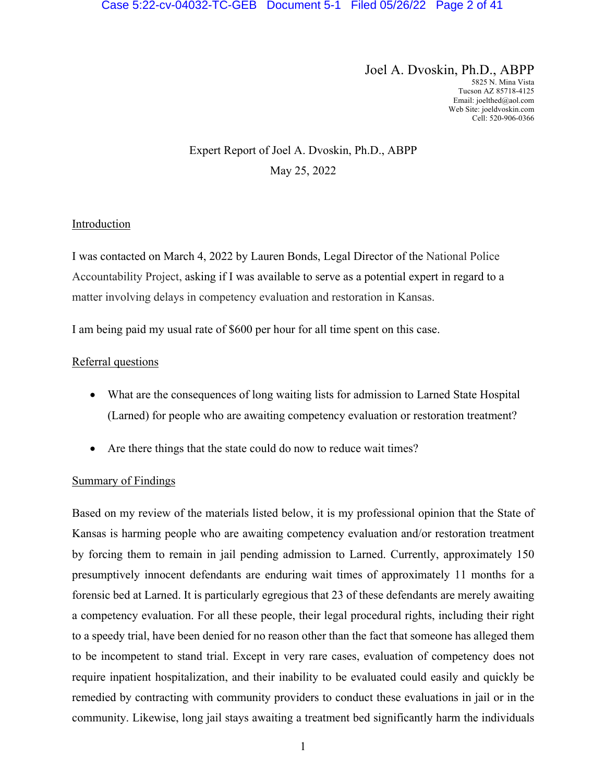Joel A. Dvoskin, Ph.D., ABPP 5825 N. Mina Vista Tucson AZ 85718-4125 Email: joelthed@aol.com Web Site: joeldvoskin.com Cell: 520-906-0366

## Expert Report of Joel A. Dvoskin, Ph.D., ABPP May 25, 2022

## Introduction

I was contacted on March 4, 2022 by Lauren Bonds, Legal Director of the National Police Accountability Project, asking if I was available to serve as a potential expert in regard to a matter involving delays in competency evaluation and restoration in Kansas.

I am being paid my usual rate of \$600 per hour for all time spent on this case.

## Referral questions

- What are the consequences of long waiting lists for admission to Larned State Hospital (Larned) for people who are awaiting competency evaluation or restoration treatment?
- Are there things that the state could do now to reduce wait times?

## Summary of Findings

Based on my review of the materials listed below, it is my professional opinion that the State of Kansas is harming people who are awaiting competency evaluation and/or restoration treatment by forcing them to remain in jail pending admission to Larned. Currently, approximately 150 presumptively innocent defendants are enduring wait times of approximately 11 months for a forensic bed at Larned. It is particularly egregious that 23 of these defendants are merely awaiting a competency evaluation. For all these people, their legal procedural rights, including their right to a speedy trial, have been denied for no reason other than the fact that someone has alleged them to be incompetent to stand trial. Except in very rare cases, evaluation of competency does not require inpatient hospitalization, and their inability to be evaluated could easily and quickly be remedied by contracting with community providers to conduct these evaluations in jail or in the community. Likewise, long jail stays awaiting a treatment bed significantly harm the individuals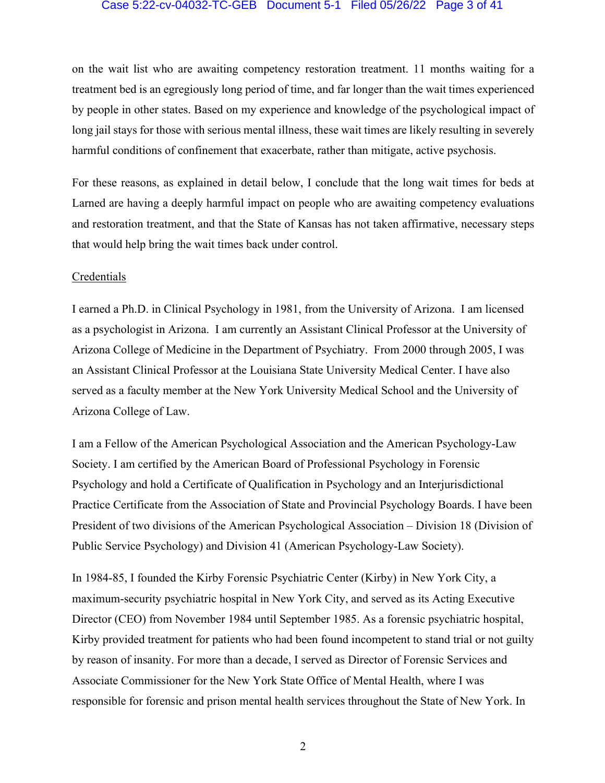#### Case 5:22-cv-04032-TC-GEB Document 5-1 Filed 05/26/22 Page 3 of 41

on the wait list who are awaiting competency restoration treatment. 11 months waiting for a treatment bed is an egregiously long period of time, and far longer than the wait times experienced by people in other states. Based on my experience and knowledge of the psychological impact of long jail stays for those with serious mental illness, these wait times are likely resulting in severely harmful conditions of confinement that exacerbate, rather than mitigate, active psychosis.

For these reasons, as explained in detail below, I conclude that the long wait times for beds at Larned are having a deeply harmful impact on people who are awaiting competency evaluations and restoration treatment, and that the State of Kansas has not taken affirmative, necessary steps that would help bring the wait times back under control.

#### Credentials

I earned a Ph.D. in Clinical Psychology in 1981, from the University of Arizona. I am licensed as a psychologist in Arizona. I am currently an Assistant Clinical Professor at the University of Arizona College of Medicine in the Department of Psychiatry. From 2000 through 2005, I was an Assistant Clinical Professor at the Louisiana State University Medical Center. I have also served as a faculty member at the New York University Medical School and the University of Arizona College of Law.

I am a Fellow of the American Psychological Association and the American Psychology-Law Society. I am certified by the American Board of Professional Psychology in Forensic Psychology and hold a Certificate of Qualification in Psychology and an Interjurisdictional Practice Certificate from the Association of State and Provincial Psychology Boards. I have been President of two divisions of the American Psychological Association – Division 18 (Division of Public Service Psychology) and Division 41 (American Psychology-Law Society).

In 1984-85, I founded the Kirby Forensic Psychiatric Center (Kirby) in New York City, a maximum-security psychiatric hospital in New York City, and served as its Acting Executive Director (CEO) from November 1984 until September 1985. As a forensic psychiatric hospital, Kirby provided treatment for patients who had been found incompetent to stand trial or not guilty by reason of insanity. For more than a decade, I served as Director of Forensic Services and Associate Commissioner for the New York State Office of Mental Health, where I was responsible for forensic and prison mental health services throughout the State of New York. In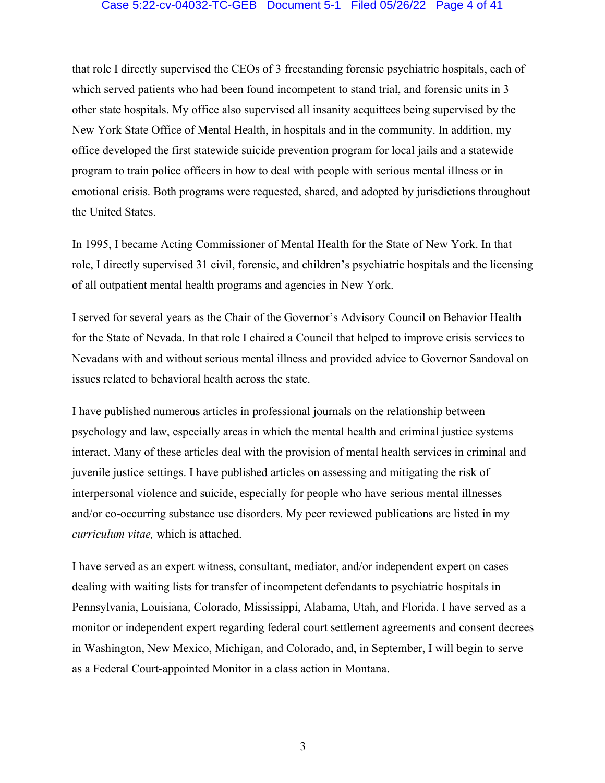#### Case 5:22-cv-04032-TC-GEB Document 5-1 Filed 05/26/22 Page 4 of 41

that role I directly supervised the CEOs of 3 freestanding forensic psychiatric hospitals, each of which served patients who had been found incompetent to stand trial, and forensic units in 3 other state hospitals. My office also supervised all insanity acquittees being supervised by the New York State Office of Mental Health, in hospitals and in the community. In addition, my office developed the first statewide suicide prevention program for local jails and a statewide program to train police officers in how to deal with people with serious mental illness or in emotional crisis. Both programs were requested, shared, and adopted by jurisdictions throughout the United States.

In 1995, I became Acting Commissioner of Mental Health for the State of New York. In that role, I directly supervised 31 civil, forensic, and children's psychiatric hospitals and the licensing of all outpatient mental health programs and agencies in New York.

I served for several years as the Chair of the Governor's Advisory Council on Behavior Health for the State of Nevada. In that role I chaired a Council that helped to improve crisis services to Nevadans with and without serious mental illness and provided advice to Governor Sandoval on issues related to behavioral health across the state.

I have published numerous articles in professional journals on the relationship between psychology and law, especially areas in which the mental health and criminal justice systems interact. Many of these articles deal with the provision of mental health services in criminal and juvenile justice settings. I have published articles on assessing and mitigating the risk of interpersonal violence and suicide, especially for people who have serious mental illnesses and/or co-occurring substance use disorders. My peer reviewed publications are listed in my *curriculum vitae,* which is attached.

I have served as an expert witness, consultant, mediator, and/or independent expert on cases dealing with waiting lists for transfer of incompetent defendants to psychiatric hospitals in Pennsylvania, Louisiana, Colorado, Mississippi, Alabama, Utah, and Florida. I have served as a monitor or independent expert regarding federal court settlement agreements and consent decrees in Washington, New Mexico, Michigan, and Colorado, and, in September, I will begin to serve as a Federal Court-appointed Monitor in a class action in Montana.

3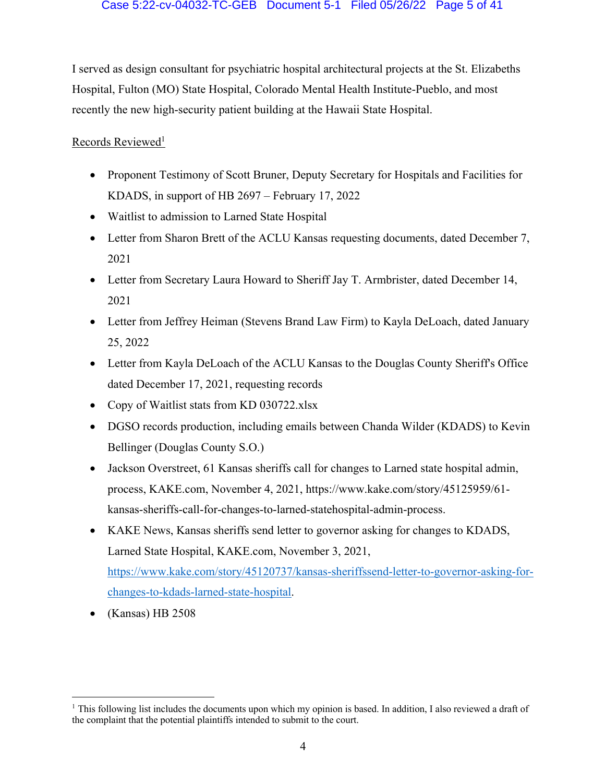I served as design consultant for psychiatric hospital architectural projects at the St. Elizabeths Hospital, Fulton (MO) State Hospital, Colorado Mental Health Institute-Pueblo, and most recently the new high-security patient building at the Hawaii State Hospital.

## Records Reviewed<sup>1</sup>

- Proponent Testimony of Scott Bruner, Deputy Secretary for Hospitals and Facilities for KDADS, in support of HB 2697 – February 17, 2022
- Waitlist to admission to Larned State Hospital
- Letter from Sharon Brett of the ACLU Kansas requesting documents, dated December 7, 2021
- Letter from Secretary Laura Howard to Sheriff Jay T. Armbrister, dated December 14, 2021
- Letter from Jeffrey Heiman (Stevens Brand Law Firm) to Kayla DeLoach, dated January 25, 2022
- Letter from Kayla DeLoach of the ACLU Kansas to the Douglas County Sheriff's Office dated December 17, 2021, requesting records
- Copy of Waitlist stats from KD 030722.xlsx
- DGSO records production, including emails between Chanda Wilder (KDADS) to Kevin Bellinger (Douglas County S.O.)
- Jackson Overstreet, 61 Kansas sheriffs call for changes to Larned state hospital admin, process, KAKE.com, November 4, 2021, https://www.kake.com/story/45125959/61 kansas-sheriffs-call-for-changes-to-larned-statehospital-admin-process.
- KAKE News, Kansas sheriffs send letter to governor asking for changes to KDADS, Larned State Hospital, KAKE.com, November 3, 2021, https://www.kake.com/story/45120737/kansas-sheriffssend-letter-to-governor-asking-forchanges-to-kdads-larned-state-hospital.
- (Kansas) HB 2508

<sup>&</sup>lt;sup>1</sup> This following list includes the documents upon which my opinion is based. In addition, I also reviewed a draft of the complaint that the potential plaintiffs intended to submit to the court.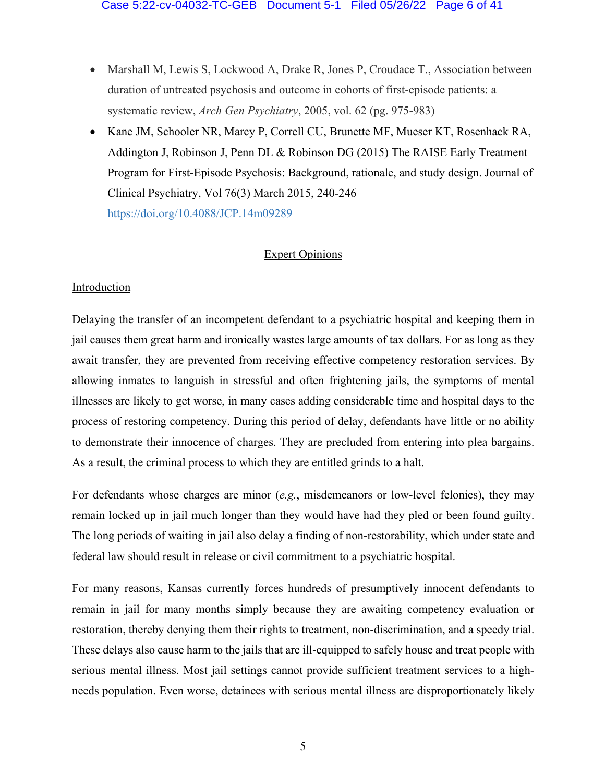- Marshall M, Lewis S, Lockwood A, Drake R, Jones P, Croudace T., Association between duration of untreated psychosis and outcome in cohorts of first-episode patients: a systematic review, *Arch Gen Psychiatry*, 2005, vol. 62 (pg. 975-983)
- Kane JM, Schooler NR, Marcy P, Correll CU, Brunette MF, Mueser KT, Rosenhack RA, Addington J, Robinson J, Penn DL & Robinson DG (2015) The RAISE Early Treatment Program for First-Episode Psychosis: Background, rationale, and study design. Journal of Clinical Psychiatry, Vol 76(3) March 2015, 240-246 https://doi.org/10.4088/JCP.14m09289

## Expert Opinions

## Introduction

Delaying the transfer of an incompetent defendant to a psychiatric hospital and keeping them in jail causes them great harm and ironically wastes large amounts of tax dollars. For as long as they await transfer, they are prevented from receiving effective competency restoration services. By allowing inmates to languish in stressful and often frightening jails, the symptoms of mental illnesses are likely to get worse, in many cases adding considerable time and hospital days to the process of restoring competency. During this period of delay, defendants have little or no ability to demonstrate their innocence of charges. They are precluded from entering into plea bargains. As a result, the criminal process to which they are entitled grinds to a halt.

For defendants whose charges are minor (*e.g.*, misdemeanors or low-level felonies), they may remain locked up in jail much longer than they would have had they pled or been found guilty. The long periods of waiting in jail also delay a finding of non-restorability, which under state and federal law should result in release or civil commitment to a psychiatric hospital.

For many reasons, Kansas currently forces hundreds of presumptively innocent defendants to remain in jail for many months simply because they are awaiting competency evaluation or restoration, thereby denying them their rights to treatment, non-discrimination, and a speedy trial. These delays also cause harm to the jails that are ill-equipped to safely house and treat people with serious mental illness. Most jail settings cannot provide sufficient treatment services to a highneeds population. Even worse, detainees with serious mental illness are disproportionately likely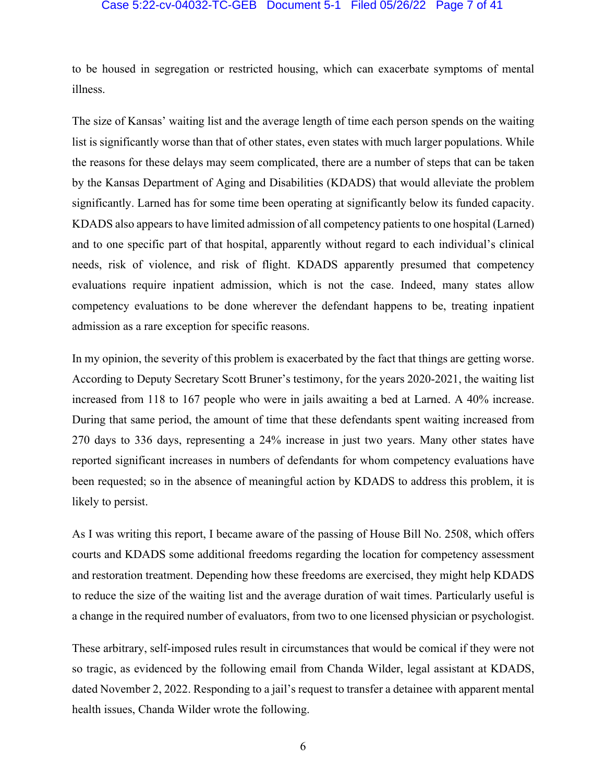#### Case 5:22-cv-04032-TC-GEB Document 5-1 Filed 05/26/22 Page 7 of 41

to be housed in segregation or restricted housing, which can exacerbate symptoms of mental illness.

The size of Kansas' waiting list and the average length of time each person spends on the waiting list is significantly worse than that of other states, even states with much larger populations. While the reasons for these delays may seem complicated, there are a number of steps that can be taken by the Kansas Department of Aging and Disabilities (KDADS) that would alleviate the problem significantly. Larned has for some time been operating at significantly below its funded capacity. KDADS also appears to have limited admission of all competency patients to one hospital (Larned) and to one specific part of that hospital, apparently without regard to each individual's clinical needs, risk of violence, and risk of flight. KDADS apparently presumed that competency evaluations require inpatient admission, which is not the case. Indeed, many states allow competency evaluations to be done wherever the defendant happens to be, treating inpatient admission as a rare exception for specific reasons.

In my opinion, the severity of this problem is exacerbated by the fact that things are getting worse. According to Deputy Secretary Scott Bruner's testimony, for the years 2020-2021, the waiting list increased from 118 to 167 people who were in jails awaiting a bed at Larned. A 40% increase. During that same period, the amount of time that these defendants spent waiting increased from 270 days to 336 days, representing a 24% increase in just two years. Many other states have reported significant increases in numbers of defendants for whom competency evaluations have been requested; so in the absence of meaningful action by KDADS to address this problem, it is likely to persist.

As I was writing this report, I became aware of the passing of House Bill No. 2508, which offers courts and KDADS some additional freedoms regarding the location for competency assessment and restoration treatment. Depending how these freedoms are exercised, they might help KDADS to reduce the size of the waiting list and the average duration of wait times. Particularly useful is a change in the required number of evaluators, from two to one licensed physician or psychologist.

These arbitrary, self-imposed rules result in circumstances that would be comical if they were not so tragic, as evidenced by the following email from Chanda Wilder, legal assistant at KDADS, dated November 2, 2022. Responding to a jail's request to transfer a detainee with apparent mental health issues, Chanda Wilder wrote the following.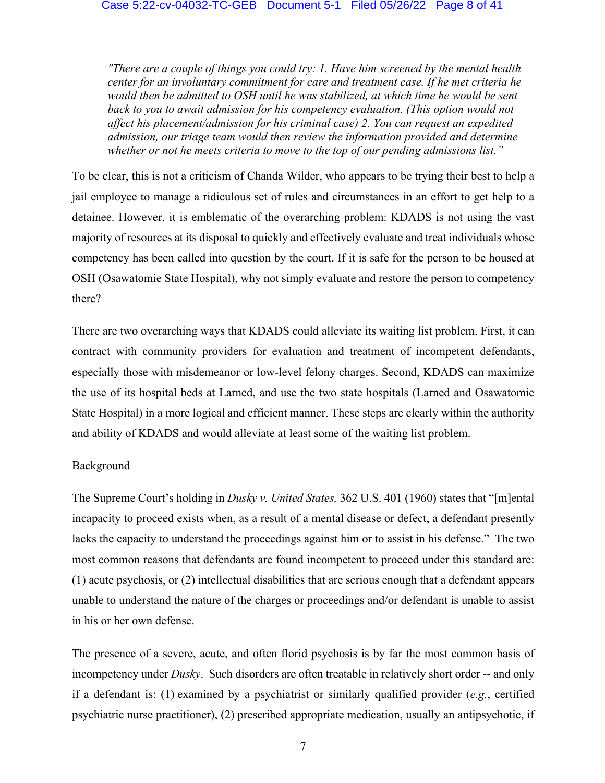*"There are a couple of things you could try: 1. Have him screened by the mental health center for an involuntary commitment for care and treatment case. If he met criteria he would then be admitted to OSH until he was stabilized, at which time he would be sent*  back to you to await admission for his competency evaluation. (This option would not *affect his placement/admission for his criminal case) 2. You can request an expedited admission, our triage team would then review the information provided and determine whether or not he meets criteria to move to the top of our pending admissions list."*

To be clear, this is not a criticism of Chanda Wilder, who appears to be trying their best to help a jail employee to manage a ridiculous set of rules and circumstances in an effort to get help to a detainee. However, it is emblematic of the overarching problem: KDADS is not using the vast majority of resources at its disposal to quickly and effectively evaluate and treat individuals whose competency has been called into question by the court. If it is safe for the person to be housed at OSH (Osawatomie State Hospital), why not simply evaluate and restore the person to competency there?

There are two overarching ways that KDADS could alleviate its waiting list problem. First, it can contract with community providers for evaluation and treatment of incompetent defendants, especially those with misdemeanor or low-level felony charges. Second, KDADS can maximize the use of its hospital beds at Larned, and use the two state hospitals (Larned and Osawatomie State Hospital) in a more logical and efficient manner. These steps are clearly within the authority and ability of KDADS and would alleviate at least some of the waiting list problem.

## Background

The Supreme Court's holding in *Dusky v. United States,* 362 U.S. 401 (1960) states that "[m]ental incapacity to proceed exists when, as a result of a mental disease or defect, a defendant presently lacks the capacity to understand the proceedings against him or to assist in his defense." The two most common reasons that defendants are found incompetent to proceed under this standard are: (1) acute psychosis, or (2) intellectual disabilities that are serious enough that a defendant appears unable to understand the nature of the charges or proceedings and/or defendant is unable to assist in his or her own defense.

The presence of a severe, acute, and often florid psychosis is by far the most common basis of incompetency under *Dusky*. Such disorders are often treatable in relatively short order -- and only if a defendant is: (1) examined by a psychiatrist or similarly qualified provider (*e.g.*, certified psychiatric nurse practitioner), (2) prescribed appropriate medication, usually an antipsychotic, if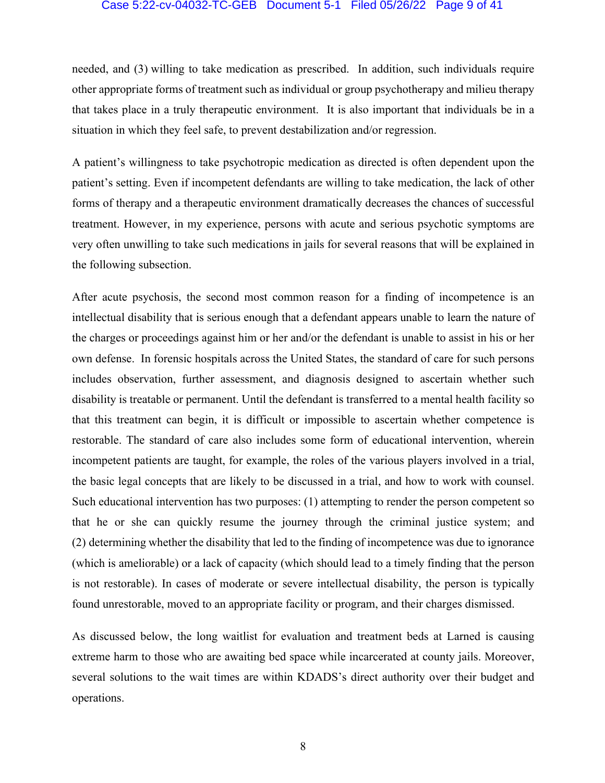#### Case 5:22-cv-04032-TC-GEB Document 5-1 Filed 05/26/22 Page 9 of 41

needed, and (3) willing to take medication as prescribed. In addition, such individuals require other appropriate forms of treatment such as individual or group psychotherapy and milieu therapy that takes place in a truly therapeutic environment. It is also important that individuals be in a situation in which they feel safe, to prevent destabilization and/or regression.

A patient's willingness to take psychotropic medication as directed is often dependent upon the patient's setting. Even if incompetent defendants are willing to take medication, the lack of other forms of therapy and a therapeutic environment dramatically decreases the chances of successful treatment. However, in my experience, persons with acute and serious psychotic symptoms are very often unwilling to take such medications in jails for several reasons that will be explained in the following subsection.

After acute psychosis, the second most common reason for a finding of incompetence is an intellectual disability that is serious enough that a defendant appears unable to learn the nature of the charges or proceedings against him or her and/or the defendant is unable to assist in his or her own defense. In forensic hospitals across the United States, the standard of care for such persons includes observation, further assessment, and diagnosis designed to ascertain whether such disability is treatable or permanent. Until the defendant is transferred to a mental health facility so that this treatment can begin, it is difficult or impossible to ascertain whether competence is restorable. The standard of care also includes some form of educational intervention, wherein incompetent patients are taught, for example, the roles of the various players involved in a trial, the basic legal concepts that are likely to be discussed in a trial, and how to work with counsel. Such educational intervention has two purposes: (1) attempting to render the person competent so that he or she can quickly resume the journey through the criminal justice system; and (2) determining whether the disability that led to the finding of incompetence was due to ignorance (which is ameliorable) or a lack of capacity (which should lead to a timely finding that the person is not restorable). In cases of moderate or severe intellectual disability, the person is typically found unrestorable, moved to an appropriate facility or program, and their charges dismissed.

As discussed below, the long waitlist for evaluation and treatment beds at Larned is causing extreme harm to those who are awaiting bed space while incarcerated at county jails. Moreover, several solutions to the wait times are within KDADS's direct authority over their budget and operations.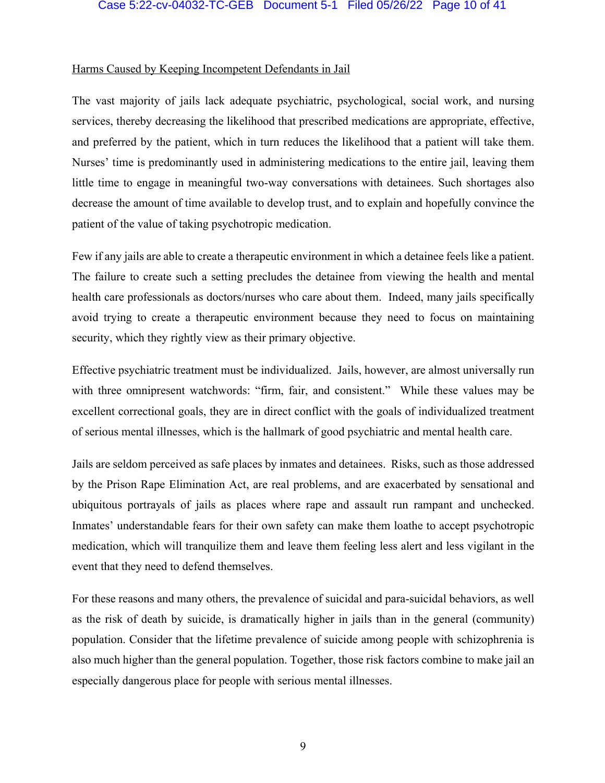#### Case 5:22-cv-04032-TC-GEB Document 5-1 Filed 05/26/22 Page 10 of 41

#### Harms Caused by Keeping Incompetent Defendants in Jail

The vast majority of jails lack adequate psychiatric, psychological, social work, and nursing services, thereby decreasing the likelihood that prescribed medications are appropriate, effective, and preferred by the patient, which in turn reduces the likelihood that a patient will take them. Nurses' time is predominantly used in administering medications to the entire jail, leaving them little time to engage in meaningful two-way conversations with detainees. Such shortages also decrease the amount of time available to develop trust, and to explain and hopefully convince the patient of the value of taking psychotropic medication.

Few if any jails are able to create a therapeutic environment in which a detainee feels like a patient. The failure to create such a setting precludes the detainee from viewing the health and mental health care professionals as doctors/nurses who care about them. Indeed, many jails specifically avoid trying to create a therapeutic environment because they need to focus on maintaining security, which they rightly view as their primary objective.

Effective psychiatric treatment must be individualized. Jails, however, are almost universally run with three omnipresent watchwords: "firm, fair, and consistent." While these values may be excellent correctional goals, they are in direct conflict with the goals of individualized treatment of serious mental illnesses, which is the hallmark of good psychiatric and mental health care.

Jails are seldom perceived as safe places by inmates and detainees. Risks, such as those addressed by the Prison Rape Elimination Act, are real problems, and are exacerbated by sensational and ubiquitous portrayals of jails as places where rape and assault run rampant and unchecked. Inmates' understandable fears for their own safety can make them loathe to accept psychotropic medication, which will tranquilize them and leave them feeling less alert and less vigilant in the event that they need to defend themselves.

For these reasons and many others, the prevalence of suicidal and para-suicidal behaviors, as well as the risk of death by suicide, is dramatically higher in jails than in the general (community) population. Consider that the lifetime prevalence of suicide among people with schizophrenia is also much higher than the general population. Together, those risk factors combine to make jail an especially dangerous place for people with serious mental illnesses.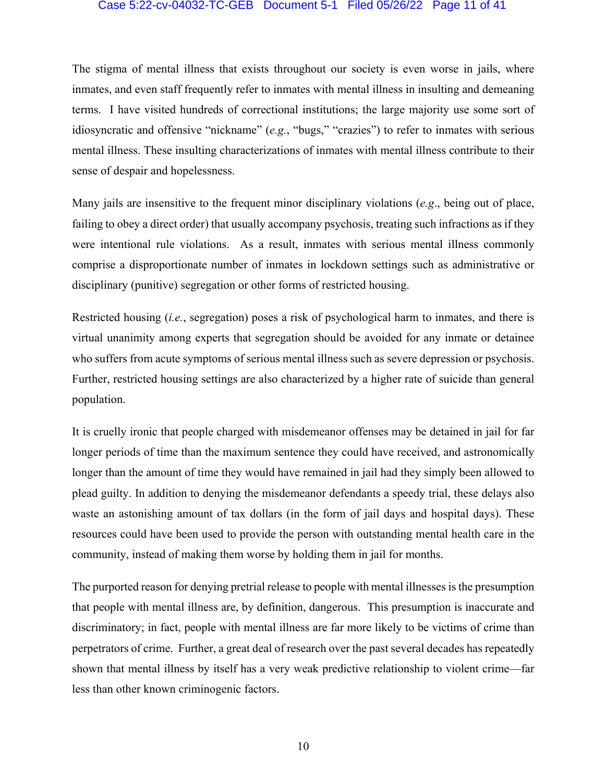## Case 5:22-cv-04032-TC-GEB Document 5-1 Filed 05/26/22 Page 11 of 41

The stigma of mental illness that exists throughout our society is even worse in jails, where inmates, and even staff frequently refer to inmates with mental illness in insulting and demeaning terms. I have visited hundreds of correctional institutions; the large majority use some sort of idiosyncratic and offensive "nickname" (*e.g.*, "bugs," "crazies") to refer to inmates with serious mental illness. These insulting characterizations of inmates with mental illness contribute to their sense of despair and hopelessness.

Many jails are insensitive to the frequent minor disciplinary violations (*e.g*., being out of place, failing to obey a direct order) that usually accompany psychosis, treating such infractions as if they were intentional rule violations. As a result, inmates with serious mental illness commonly comprise a disproportionate number of inmates in lockdown settings such as administrative or disciplinary (punitive) segregation or other forms of restricted housing.

Restricted housing (*i.e.*, segregation) poses a risk of psychological harm to inmates, and there is virtual unanimity among experts that segregation should be avoided for any inmate or detainee who suffers from acute symptoms of serious mental illness such as severe depression or psychosis. Further, restricted housing settings are also characterized by a higher rate of suicide than general population.

It is cruelly ironic that people charged with misdemeanor offenses may be detained in jail for far longer periods of time than the maximum sentence they could have received, and astronomically longer than the amount of time they would have remained in jail had they simply been allowed to plead guilty. In addition to denying the misdemeanor defendants a speedy trial, these delays also waste an astonishing amount of tax dollars (in the form of jail days and hospital days). These resources could have been used to provide the person with outstanding mental health care in the community, instead of making them worse by holding them in jail for months.

The purported reason for denying pretrial release to people with mental illnesses is the presumption that people with mental illness are, by definition, dangerous. This presumption is inaccurate and discriminatory; in fact, people with mental illness are far more likely to be victims of crime than perpetrators of crime. Further, a great deal of research over the past several decades has repeatedly shown that mental illness by itself has a very weak predictive relationship to violent crime—far less than other known criminogenic factors.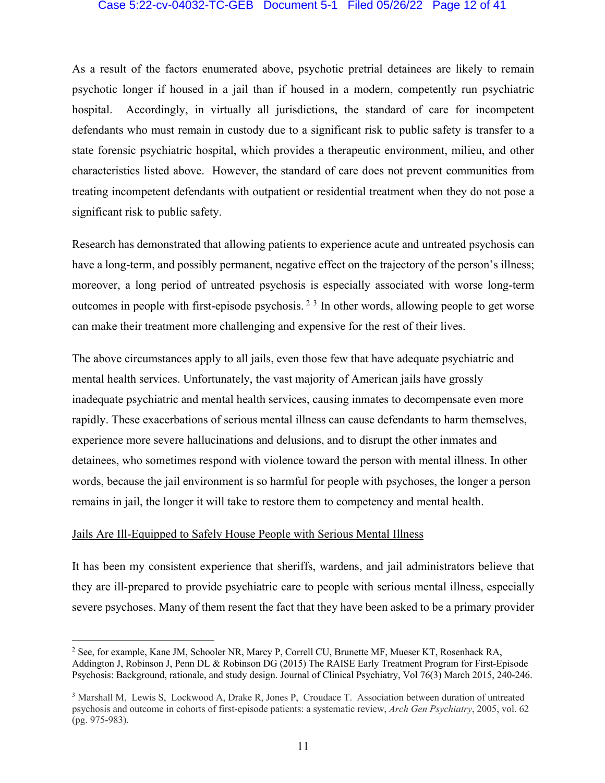#### Case 5:22-cv-04032-TC-GEB Document 5-1 Filed 05/26/22 Page 12 of 41

As a result of the factors enumerated above, psychotic pretrial detainees are likely to remain psychotic longer if housed in a jail than if housed in a modern, competently run psychiatric hospital. Accordingly, in virtually all jurisdictions, the standard of care for incompetent defendants who must remain in custody due to a significant risk to public safety is transfer to a state forensic psychiatric hospital, which provides a therapeutic environment, milieu, and other characteristics listed above. However, the standard of care does not prevent communities from treating incompetent defendants with outpatient or residential treatment when they do not pose a significant risk to public safety.

Research has demonstrated that allowing patients to experience acute and untreated psychosis can have a long-term, and possibly permanent, negative effect on the trajectory of the person's illness; moreover, a long period of untreated psychosis is especially associated with worse long-term outcomes in people with first-episode psychosis.<sup>23</sup> In other words, allowing people to get worse can make their treatment more challenging and expensive for the rest of their lives.

The above circumstances apply to all jails, even those few that have adequate psychiatric and mental health services. Unfortunately, the vast majority of American jails have grossly inadequate psychiatric and mental health services, causing inmates to decompensate even more rapidly. These exacerbations of serious mental illness can cause defendants to harm themselves, experience more severe hallucinations and delusions, and to disrupt the other inmates and detainees, who sometimes respond with violence toward the person with mental illness. In other words, because the jail environment is so harmful for people with psychoses, the longer a person remains in jail, the longer it will take to restore them to competency and mental health.

## Jails Are Ill-Equipped to Safely House People with Serious Mental Illness

It has been my consistent experience that sheriffs, wardens, and jail administrators believe that they are ill-prepared to provide psychiatric care to people with serious mental illness, especially severe psychoses. Many of them resent the fact that they have been asked to be a primary provider

<sup>2</sup> See, for example, Kane JM, Schooler NR, Marcy P, Correll CU, Brunette MF, Mueser KT, Rosenhack RA, Addington J, Robinson J, Penn DL & Robinson DG (2015) The RAISE Early Treatment Program for First-Episode Psychosis: Background, rationale, and study design. Journal of Clinical Psychiatry, Vol 76(3) March 2015, 240-246.

<sup>3</sup> Marshall M, Lewis S, Lockwood A, Drake R, Jones P, Croudace T. Association between duration of untreated psychosis and outcome in cohorts of first-episode patients: a systematic review, *Arch Gen Psychiatry*, 2005, vol. 62 (pg. 975-983).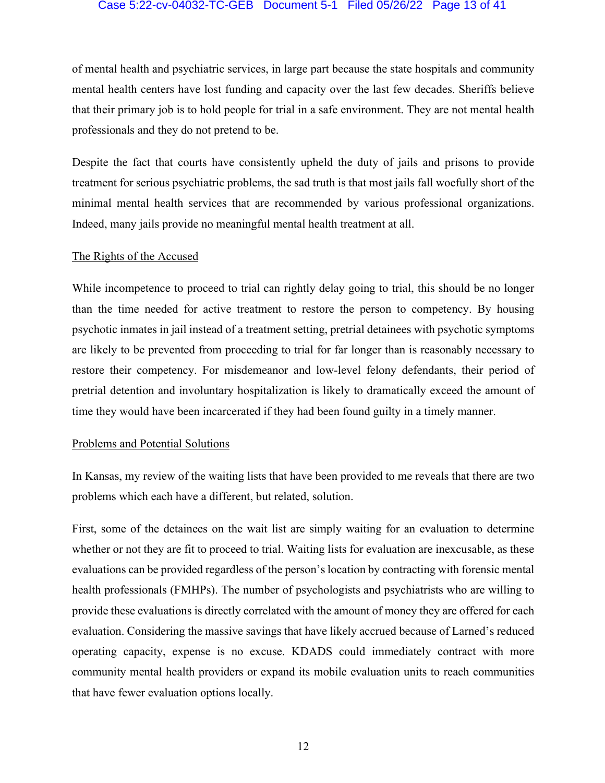## Case 5:22-cv-04032-TC-GEB Document 5-1 Filed 05/26/22 Page 13 of 41

of mental health and psychiatric services, in large part because the state hospitals and community mental health centers have lost funding and capacity over the last few decades. Sheriffs believe that their primary job is to hold people for trial in a safe environment. They are not mental health professionals and they do not pretend to be.

Despite the fact that courts have consistently upheld the duty of jails and prisons to provide treatment for serious psychiatric problems, the sad truth is that most jails fall woefully short of the minimal mental health services that are recommended by various professional organizations. Indeed, many jails provide no meaningful mental health treatment at all.

#### The Rights of the Accused

While incompetence to proceed to trial can rightly delay going to trial, this should be no longer than the time needed for active treatment to restore the person to competency. By housing psychotic inmates in jail instead of a treatment setting, pretrial detainees with psychotic symptoms are likely to be prevented from proceeding to trial for far longer than is reasonably necessary to restore their competency. For misdemeanor and low-level felony defendants, their period of pretrial detention and involuntary hospitalization is likely to dramatically exceed the amount of time they would have been incarcerated if they had been found guilty in a timely manner.

#### Problems and Potential Solutions

In Kansas, my review of the waiting lists that have been provided to me reveals that there are two problems which each have a different, but related, solution.

First, some of the detainees on the wait list are simply waiting for an evaluation to determine whether or not they are fit to proceed to trial. Waiting lists for evaluation are inexcusable, as these evaluations can be provided regardless of the person's location by contracting with forensic mental health professionals (FMHPs). The number of psychologists and psychiatrists who are willing to provide these evaluations is directly correlated with the amount of money they are offered for each evaluation. Considering the massive savings that have likely accrued because of Larned's reduced operating capacity, expense is no excuse. KDADS could immediately contract with more community mental health providers or expand its mobile evaluation units to reach communities that have fewer evaluation options locally.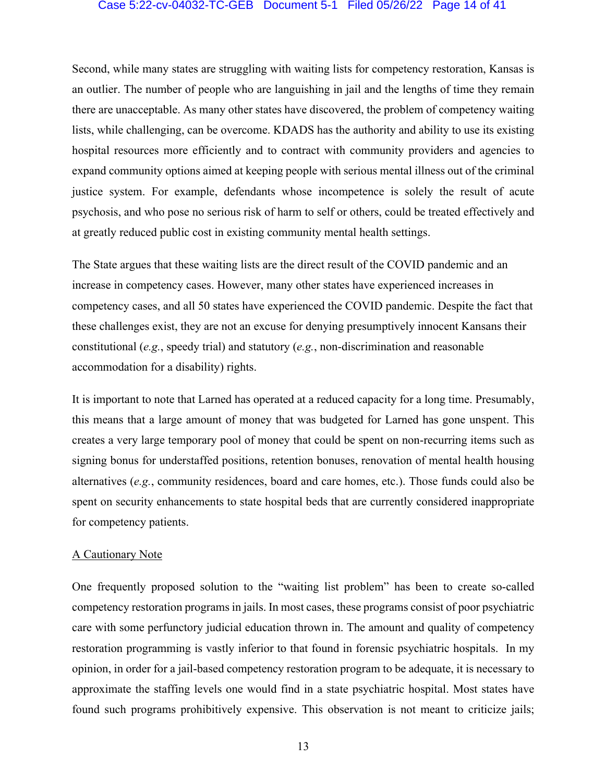## Case 5:22-cv-04032-TC-GEB Document 5-1 Filed 05/26/22 Page 14 of 41

Second, while many states are struggling with waiting lists for competency restoration, Kansas is an outlier. The number of people who are languishing in jail and the lengths of time they remain there are unacceptable. As many other states have discovered, the problem of competency waiting lists, while challenging, can be overcome. KDADS has the authority and ability to use its existing hospital resources more efficiently and to contract with community providers and agencies to expand community options aimed at keeping people with serious mental illness out of the criminal justice system. For example, defendants whose incompetence is solely the result of acute psychosis, and who pose no serious risk of harm to self or others, could be treated effectively and at greatly reduced public cost in existing community mental health settings.

The State argues that these waiting lists are the direct result of the COVID pandemic and an increase in competency cases. However, many other states have experienced increases in competency cases, and all 50 states have experienced the COVID pandemic. Despite the fact that these challenges exist, they are not an excuse for denying presumptively innocent Kansans their constitutional (*e.g.*, speedy trial) and statutory (*e.g.*, non-discrimination and reasonable accommodation for a disability) rights.

It is important to note that Larned has operated at a reduced capacity for a long time. Presumably, this means that a large amount of money that was budgeted for Larned has gone unspent. This creates a very large temporary pool of money that could be spent on non-recurring items such as signing bonus for understaffed positions, retention bonuses, renovation of mental health housing alternatives (*e.g.*, community residences, board and care homes, etc.). Those funds could also be spent on security enhancements to state hospital beds that are currently considered inappropriate for competency patients.

#### A Cautionary Note

One frequently proposed solution to the "waiting list problem" has been to create so-called competency restoration programs in jails. In most cases, these programs consist of poor psychiatric care with some perfunctory judicial education thrown in. The amount and quality of competency restoration programming is vastly inferior to that found in forensic psychiatric hospitals. In my opinion, in order for a jail-based competency restoration program to be adequate, it is necessary to approximate the staffing levels one would find in a state psychiatric hospital. Most states have found such programs prohibitively expensive. This observation is not meant to criticize jails;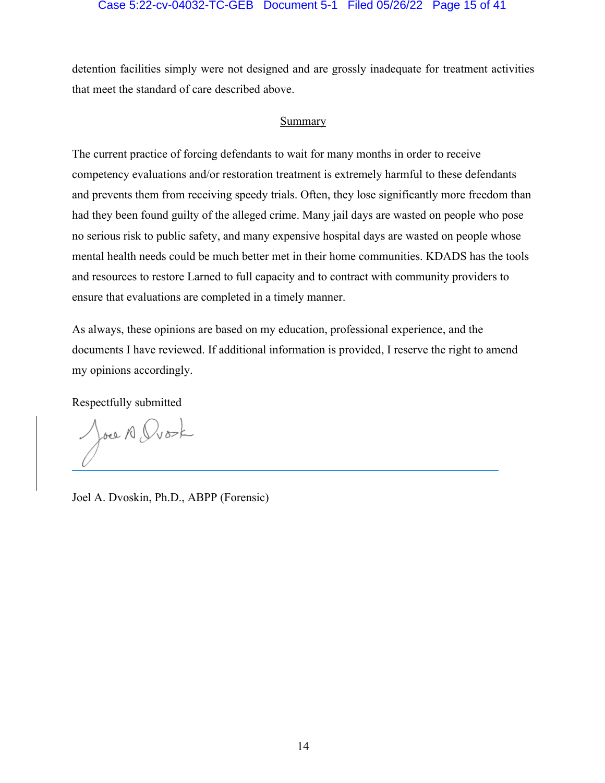#### Case 5:22-cv-04032-TC-GEB Document 5-1 Filed 05/26/22 Page 15 of 41

detention facilities simply were not designed and are grossly inadequate for treatment activities that meet the standard of care described above.

## Summary

The current practice of forcing defendants to wait for many months in order to receive competency evaluations and/or restoration treatment is extremely harmful to these defendants and prevents them from receiving speedy trials. Often, they lose significantly more freedom than had they been found guilty of the alleged crime. Many jail days are wasted on people who pose no serious risk to public safety, and many expensive hospital days are wasted on people whose mental health needs could be much better met in their home communities. KDADS has the tools and resources to restore Larned to full capacity and to contract with community providers to ensure that evaluations are completed in a timely manner.

As always, these opinions are based on my education, professional experience, and the documents I have reviewed. If additional information is provided, I reserve the right to amend my opinions accordingly.

Respectfully submitted

Joel A Dvork

Joel A. Dvoskin, Ph.D., ABPP (Forensic)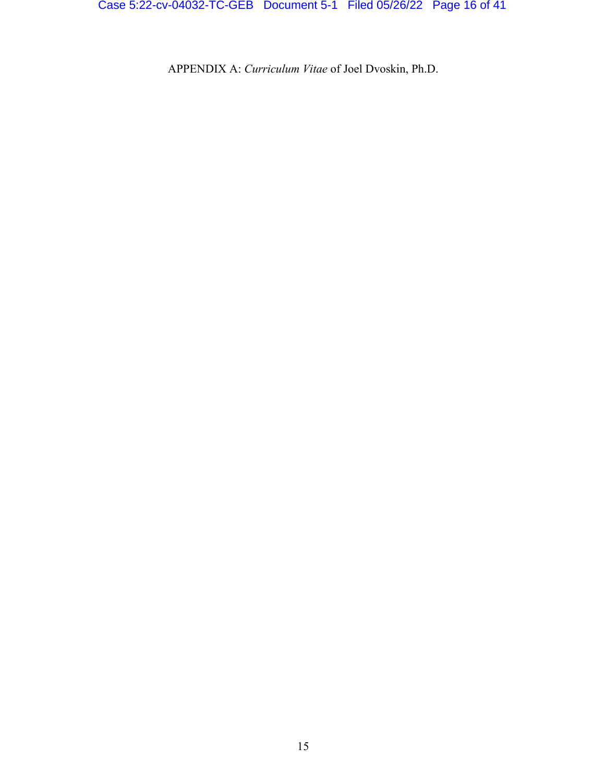Case 5:22-cv-04032-TC-GEB Document 5-1 Filed 05/26/22 Page 16 of 41

APPENDIX A: *Curriculum Vitae* of Joel Dvoskin, Ph.D.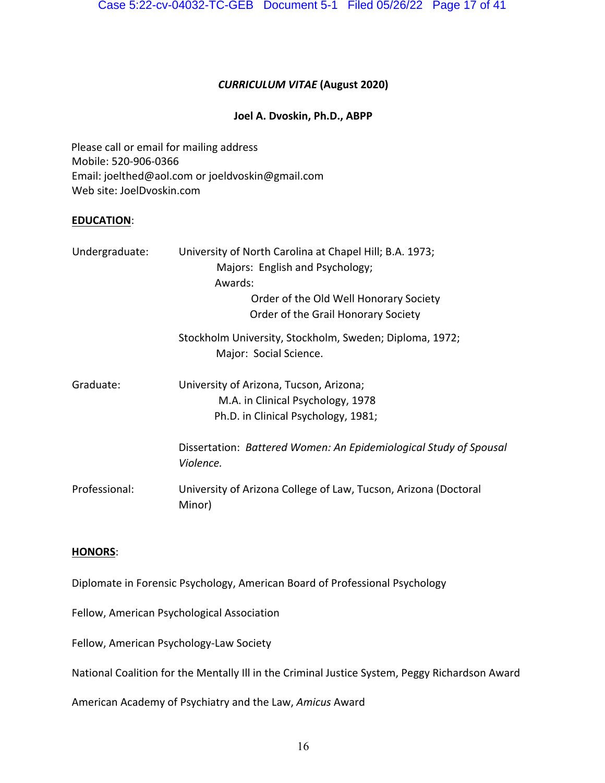## *CURRICULUM VITAE* **(August 2020)**

## **Joel A. Dvoskin, Ph.D., ABPP**

Please call or email for mailing address Mobile: 520-906-0366 Email: joelthed@aol.com or joeldvoskin@gmail.com Web site: JoelDvoskin.com

## **EDUCATION**:

| Undergraduate: | University of North Carolina at Chapel Hill; B.A. 1973;<br>Majors: English and Psychology;<br>Awards:<br>Order of the Old Well Honorary Society<br>Order of the Grail Honorary Society |
|----------------|----------------------------------------------------------------------------------------------------------------------------------------------------------------------------------------|
|                | Stockholm University, Stockholm, Sweden; Diploma, 1972;<br>Major: Social Science.                                                                                                      |
| Graduate:      | University of Arizona, Tucson, Arizona;<br>M.A. in Clinical Psychology, 1978<br>Ph.D. in Clinical Psychology, 1981;                                                                    |
|                | Dissertation: Battered Women: An Epidemiological Study of Spousal<br>Violence.                                                                                                         |
| Professional:  | University of Arizona College of Law, Tucson, Arizona (Doctoral<br>Minor)                                                                                                              |

## **HONORS**:

Diplomate in Forensic Psychology, American Board of Professional Psychology

Fellow, American Psychological Association

Fellow, American Psychology-Law Society

National Coalition for the Mentally Ill in the Criminal Justice System, Peggy Richardson Award

American Academy of Psychiatry and the Law, *Amicus* Award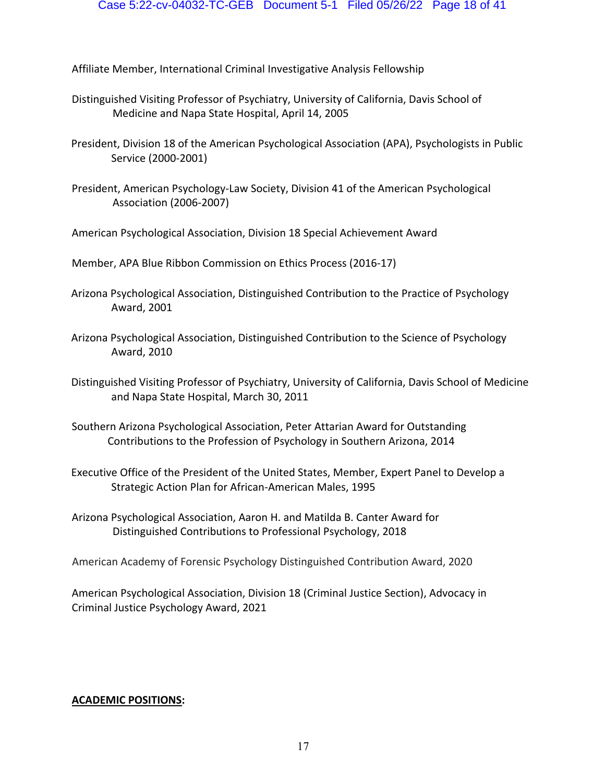Affiliate Member, International Criminal Investigative Analysis Fellowship

- Distinguished Visiting Professor of Psychiatry, University of California, Davis School of Medicine and Napa State Hospital, April 14, 2005
- President, Division 18 of the American Psychological Association (APA), Psychologists in Public Service (2000-2001)
- President, American Psychology-Law Society, Division 41 of the American Psychological Association (2006-2007)
- American Psychological Association, Division 18 Special Achievement Award
- Member, APA Blue Ribbon Commission on Ethics Process (2016-17)
- Arizona Psychological Association, Distinguished Contribution to the Practice of Psychology Award, 2001
- Arizona Psychological Association, Distinguished Contribution to the Science of Psychology Award, 2010
- Distinguished Visiting Professor of Psychiatry, University of California, Davis School of Medicine and Napa State Hospital, March 30, 2011
- Southern Arizona Psychological Association, Peter Attarian Award for Outstanding Contributions to the Profession of Psychology in Southern Arizona, 2014
- Executive Office of the President of the United States, Member, Expert Panel to Develop a Strategic Action Plan for African-American Males, 1995
- Arizona Psychological Association, Aaron H. and Matilda B. Canter Award for Distinguished Contributions to Professional Psychology, 2018

American Academy of Forensic Psychology Distinguished Contribution Award, 2020

American Psychological Association, Division 18 (Criminal Justice Section), Advocacy in Criminal Justice Psychology Award, 2021

## **ACADEMIC POSITIONS:**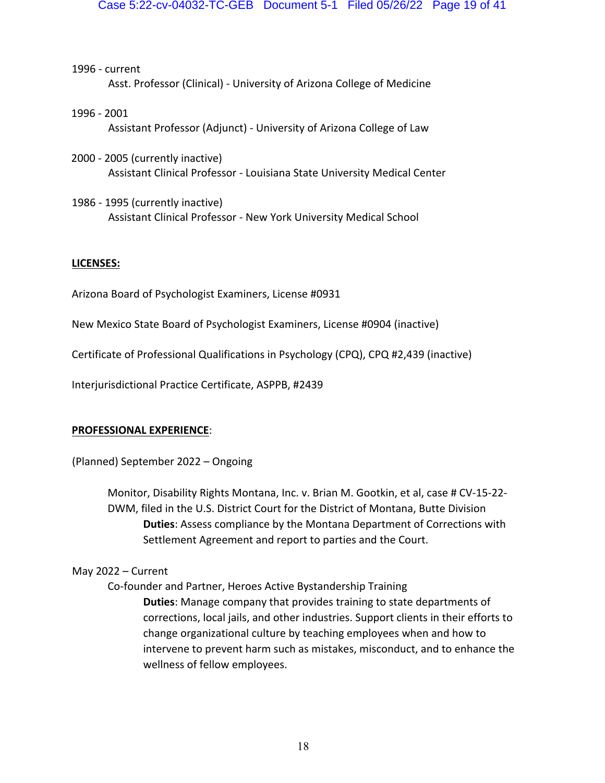1996 - current Asst. Professor (Clinical) - University of Arizona College of Medicine

- 1996 2001 Assistant Professor (Adjunct) - University of Arizona College of Law
- 2000 2005 (currently inactive) Assistant Clinical Professor - Louisiana State University Medical Center
- 1986 1995 (currently inactive) Assistant Clinical Professor - New York University Medical School

## **LICENSES:**

Arizona Board of Psychologist Examiners, License #0931

New Mexico State Board of Psychologist Examiners, License #0904 (inactive)

Certificate of Professional Qualifications in Psychology (CPQ), CPQ #2,439 (inactive)

Interjurisdictional Practice Certificate, ASPPB, #2439

## **PROFESSIONAL EXPERIENCE**:

(Planned) September 2022 – Ongoing

Monitor, Disability Rights Montana, Inc. v. Brian M. Gootkin, et al, case # CV-15-22- DWM, filed in the U.S. District Court for the District of Montana, Butte Division **Duties**: Assess compliance by the Montana Department of Corrections with Settlement Agreement and report to parties and the Court.

## May 2022 – Current

Co-founder and Partner, Heroes Active Bystandership Training **Duties**: Manage company that provides training to state departments of corrections, local jails, and other industries. Support clients in their efforts to change organizational culture by teaching employees when and how to intervene to prevent harm such as mistakes, misconduct, and to enhance the wellness of fellow employees.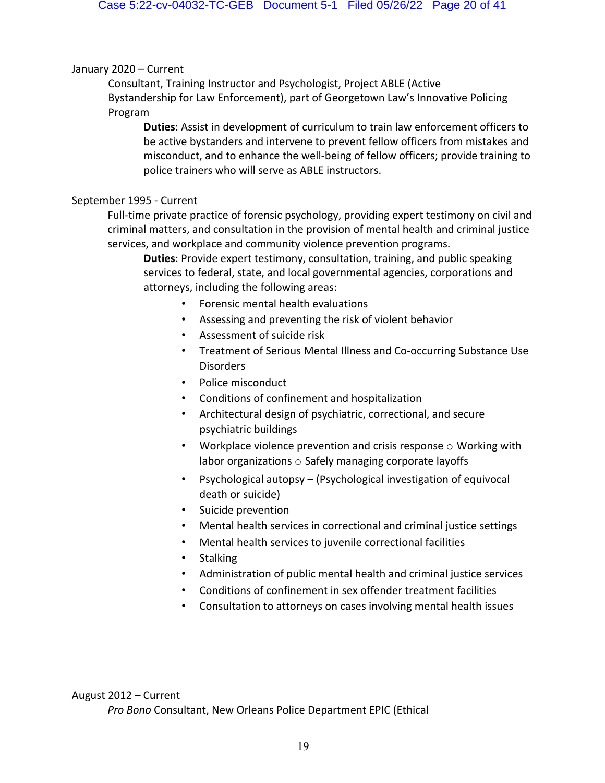## January 2020 – Current

Consultant, Training Instructor and Psychologist, Project ABLE (Active Bystandership for Law Enforcement), part of Georgetown Law's Innovative Policing Program

**Duties**: Assist in development of curriculum to train law enforcement officers to be active bystanders and intervene to prevent fellow officers from mistakes and misconduct, and to enhance the well-being of fellow officers; provide training to police trainers who will serve as ABLE instructors.

## September 1995 - Current

Full-time private practice of forensic psychology, providing expert testimony on civil and criminal matters, and consultation in the provision of mental health and criminal justice services, and workplace and community violence prevention programs.

**Duties**: Provide expert testimony, consultation, training, and public speaking services to federal, state, and local governmental agencies, corporations and attorneys, including the following areas:

- Forensic mental health evaluations
- Assessing and preventing the risk of violent behavior
- Assessment of suicide risk
- Treatment of Serious Mental Illness and Co-occurring Substance Use Disorders
- Police misconduct
- Conditions of confinement and hospitalization
- Architectural design of psychiatric, correctional, and secure psychiatric buildings
- Workplace violence prevention and crisis response  $\circ$  Working with labor organizations o Safely managing corporate layoffs
- Psychological autopsy (Psychological investigation of equivocal death or suicide)
- Suicide prevention
- Mental health services in correctional and criminal justice settings
- Mental health services to juvenile correctional facilities
- Stalking
- Administration of public mental health and criminal justice services
- Conditions of confinement in sex offender treatment facilities
- Consultation to attorneys on cases involving mental health issues

## August 2012 – Current

*Pro Bono* Consultant, New Orleans Police Department EPIC (Ethical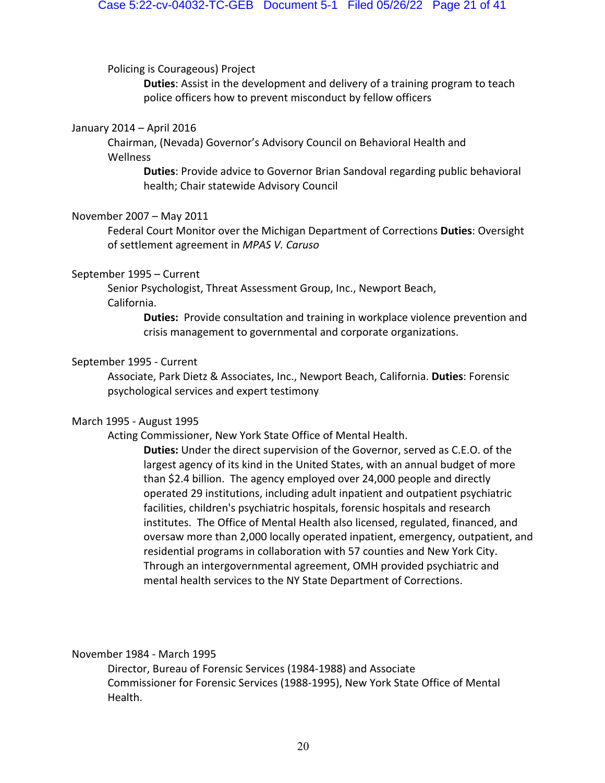Policing is Courageous) Project

**Duties**: Assist in the development and delivery of a training program to teach police officers how to prevent misconduct by fellow officers

#### January 2014 – April 2016

Chairman, (Nevada) Governor's Advisory Council on Behavioral Health and Wellness

**Duties**: Provide advice to Governor Brian Sandoval regarding public behavioral health; Chair statewide Advisory Council

#### November 2007 – May 2011

Federal Court Monitor over the Michigan Department of Corrections **Duties**: Oversight of settlement agreement in *MPAS V. Caruso* 

#### September 1995 – Current

Senior Psychologist, Threat Assessment Group, Inc., Newport Beach, California.

> **Duties:** Provide consultation and training in workplace violence prevention and crisis management to governmental and corporate organizations.

#### September 1995 - Current

Associate, Park Dietz & Associates, Inc., Newport Beach, California. **Duties**: Forensic psychological services and expert testimony

## March 1995 - August 1995

Acting Commissioner, New York State Office of Mental Health.

**Duties:** Under the direct supervision of the Governor, served as C.E.O. of the largest agency of its kind in the United States, with an annual budget of more than \$2.4 billion. The agency employed over 24,000 people and directly operated 29 institutions, including adult inpatient and outpatient psychiatric facilities, children's psychiatric hospitals, forensic hospitals and research institutes. The Office of Mental Health also licensed, regulated, financed, and oversaw more than 2,000 locally operated inpatient, emergency, outpatient, and residential programs in collaboration with 57 counties and New York City. Through an intergovernmental agreement, OMH provided psychiatric and mental health services to the NY State Department of Corrections.

November 1984 - March 1995

Director, Bureau of Forensic Services (1984-1988) and Associate Commissioner for Forensic Services (1988-1995), New York State Office of Mental Health.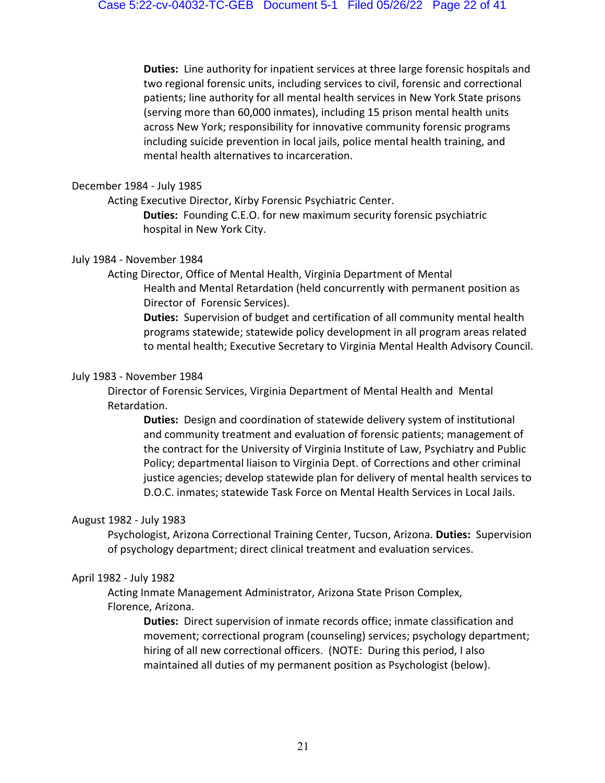**Duties:** Line authority for inpatient services at three large forensic hospitals and two regional forensic units, including services to civil, forensic and correctional patients; line authority for all mental health services in New York State prisons (serving more than 60,000 inmates), including 15 prison mental health units across New York; responsibility for innovative community forensic programs including suicide prevention in local jails, police mental health training, and mental health alternatives to incarceration.

## December 1984 - July 1985

Acting Executive Director, Kirby Forensic Psychiatric Center.

**Duties:** Founding C.E.O. for new maximum security forensic psychiatric hospital in New York City.

## July 1984 - November 1984

Acting Director, Office of Mental Health, Virginia Department of Mental Health and Mental Retardation (held concurrently with permanent position as Director of Forensic Services).

**Duties:** Supervision of budget and certification of all community mental health programs statewide; statewide policy development in all program areas related to mental health; Executive Secretary to Virginia Mental Health Advisory Council.

## July 1983 - November 1984

Director of Forensic Services, Virginia Department of Mental Health and Mental Retardation.

**Duties:** Design and coordination of statewide delivery system of institutional and community treatment and evaluation of forensic patients; management of the contract for the University of Virginia Institute of Law, Psychiatry and Public Policy; departmental liaison to Virginia Dept. of Corrections and other criminal justice agencies; develop statewide plan for delivery of mental health services to D.O.C. inmates; statewide Task Force on Mental Health Services in Local Jails.

## August 1982 - July 1983

Psychologist, Arizona Correctional Training Center, Tucson, Arizona. **Duties:** Supervision of psychology department; direct clinical treatment and evaluation services.

## April 1982 - July 1982

Acting Inmate Management Administrator, Arizona State Prison Complex, Florence, Arizona.

> **Duties:** Direct supervision of inmate records office; inmate classification and movement; correctional program (counseling) services; psychology department; hiring of all new correctional officers. (NOTE: During this period, I also maintained all duties of my permanent position as Psychologist (below).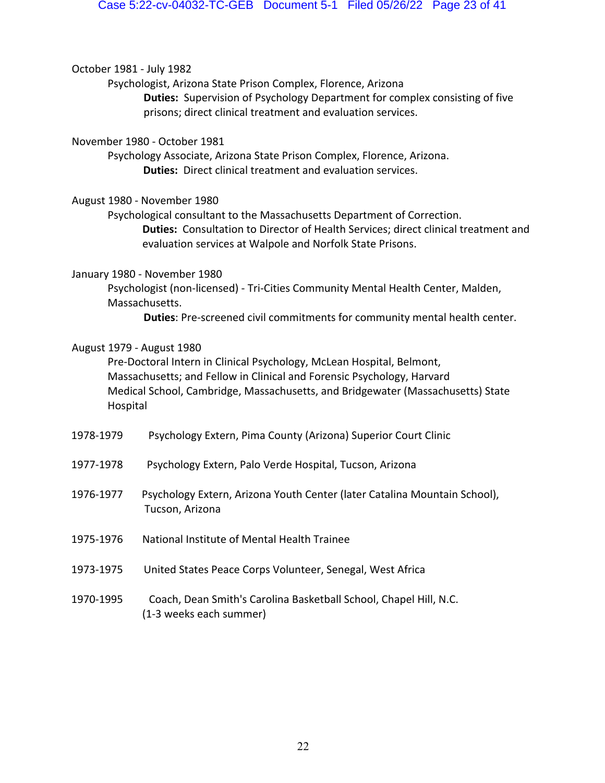October 1981 - July 1982

Psychologist, Arizona State Prison Complex, Florence, Arizona

**Duties:** Supervision of Psychology Department for complex consisting of five prisons; direct clinical treatment and evaluation services.

November 1980 - October 1981

Psychology Associate, Arizona State Prison Complex, Florence, Arizona. **Duties:** Direct clinical treatment and evaluation services.

August 1980 - November 1980

Psychological consultant to the Massachusetts Department of Correction. **Duties:** Consultation to Director of Health Services; direct clinical treatment and evaluation services at Walpole and Norfolk State Prisons.

## January 1980 - November 1980

Psychologist (non-licensed) - Tri-Cities Community Mental Health Center, Malden, Massachusetts.

**Duties**: Pre-screened civil commitments for community mental health center.

## August 1979 - August 1980

Pre-Doctoral Intern in Clinical Psychology, McLean Hospital, Belmont, Massachusetts; and Fellow in Clinical and Forensic Psychology, Harvard Medical School, Cambridge, Massachusetts, and Bridgewater (Massachusetts) State Hospital

- 1978-1979 Psychology Extern, Pima County (Arizona) Superior Court Clinic
- 1977-1978 Psychology Extern, Palo Verde Hospital, Tucson, Arizona
- 1976-1977 Psychology Extern, Arizona Youth Center (later Catalina Mountain School), Tucson, Arizona
- 1975-1976 National Institute of Mental Health Trainee
- 1973-1975 United States Peace Corps Volunteer, Senegal, West Africa
- 1970-1995 Coach, Dean Smith's Carolina Basketball School, Chapel Hill, N.C. (1-3 weeks each summer)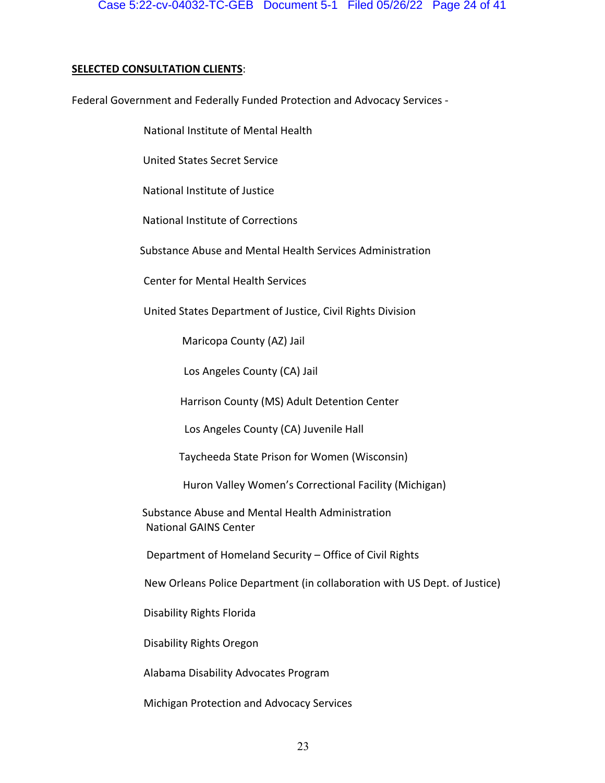## **SELECTED CONSULTATION CLIENTS**:

Federal Government and Federally Funded Protection and Advocacy Services -

National Institute of Mental Health

United States Secret Service

National Institute of Justice

National Institute of Corrections

Substance Abuse and Mental Health Services Administration

Center for Mental Health Services

United States Department of Justice, Civil Rights Division

Maricopa County (AZ) Jail

Los Angeles County (CA) Jail

Harrison County (MS) Adult Detention Center

Los Angeles County (CA) Juvenile Hall

Taycheeda State Prison for Women (Wisconsin)

Huron Valley Women's Correctional Facility (Michigan)

Substance Abuse and Mental Health Administration National GAINS Center

Department of Homeland Security – Office of Civil Rights

New Orleans Police Department (in collaboration with US Dept. of Justice)

Disability Rights Florida

Disability Rights Oregon

Alabama Disability Advocates Program

Michigan Protection and Advocacy Services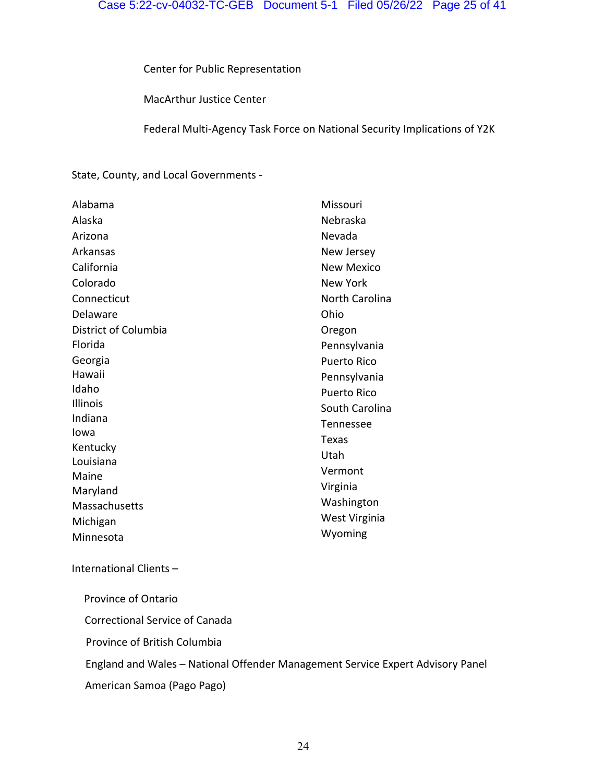Center for Public Representation

MacArthur Justice Center

Federal Multi-Agency Task Force on National Security Implications of Y2K

State, County, and Local Governments -

| Alabama              | Missouri              |
|----------------------|-----------------------|
| Alaska               | Nebraska              |
| Arizona              | Nevada                |
| Arkansas             | New Jersey            |
| California           | <b>New Mexico</b>     |
| Colorado             | New York              |
| Connecticut          | <b>North Carolina</b> |
| Delaware             | Ohio                  |
| District of Columbia | Oregon                |
| Florida              | Pennsylvania          |
| Georgia              | <b>Puerto Rico</b>    |
| Hawaii               | Pennsylvania          |
| Idaho                | <b>Puerto Rico</b>    |
| <b>Illinois</b>      | South Carolina        |
| Indiana              | Tennessee             |
| Iowa                 | Texas                 |
| Kentucky             | Utah                  |
| Louisiana            | Vermont               |
| Maine                |                       |
| Maryland             | Virginia              |
| Massachusetts        | Washington            |
| Michigan             | West Virginia         |
| Minnesota            | Wyoming               |

## International Clients –

Province of Ontario

Correctional Service of Canada

Province of British Columbia

England and Wales – National Offender Management Service Expert Advisory Panel

American Samoa (Pago Pago)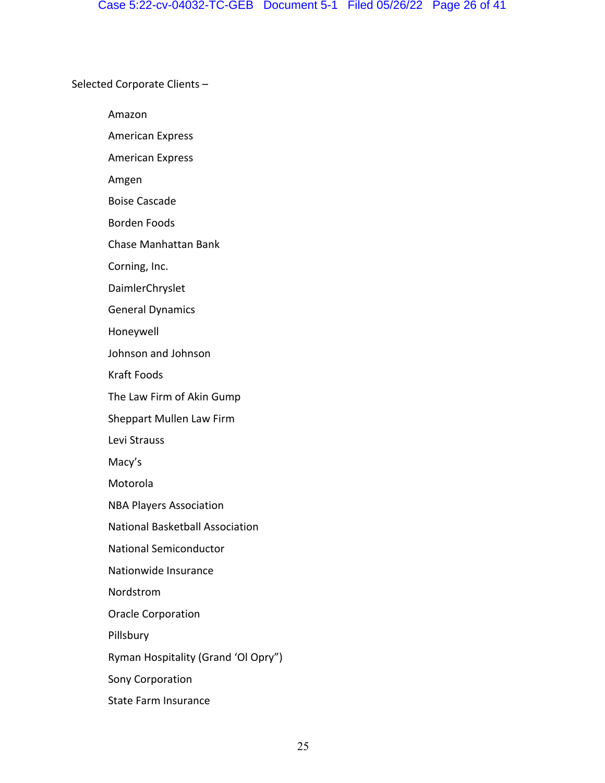Selected Corporate Clients –

Amazon

American Express

American Express

Amgen

Boise Cascade

Borden Foods

Chase Manhattan Bank

Corning, Inc.

DaimlerChryslet

General Dynamics

Honeywell

Johnson and Johnson

Kraft Foods

The Law Firm of Akin Gump

Sheppart Mullen Law Firm

Levi Strauss

Macy's

Motorola

NBA Players Association

National Basketball Association

National Semiconductor

Nationwide Insurance

Nordstrom

Oracle Corporation

Pillsbury

Ryman Hospitality (Grand 'Ol Opry")

Sony Corporation

State Farm Insurance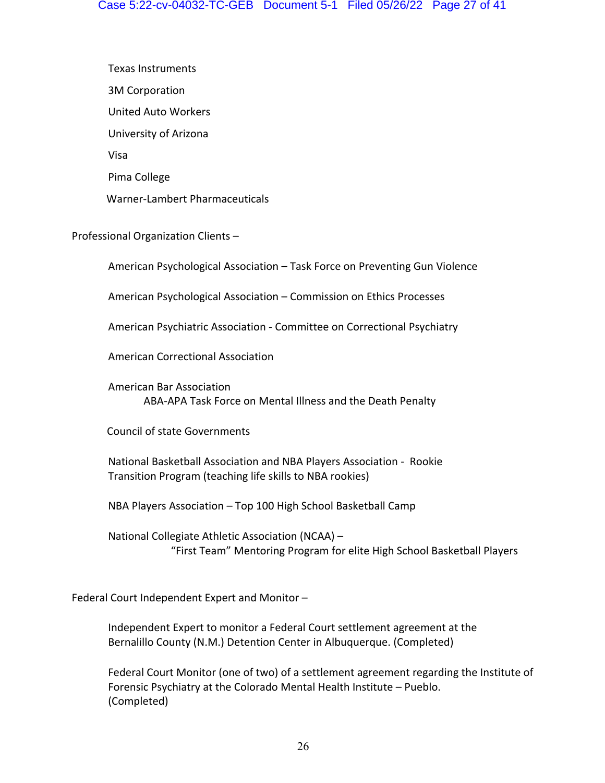Texas Instruments 3M Corporation United Auto Workers University of Arizona Visa Pima College Warner-Lambert Pharmaceuticals

Professional Organization Clients –

American Psychological Association – Task Force on Preventing Gun Violence

American Psychological Association – Commission on Ethics Processes

American Psychiatric Association - Committee on Correctional Psychiatry

American Correctional Association

American Bar Association ABA-APA Task Force on Mental Illness and the Death Penalty

Council of state Governments

National Basketball Association and NBA Players Association - Rookie Transition Program (teaching life skills to NBA rookies)

NBA Players Association – Top 100 High School Basketball Camp

National Collegiate Athletic Association (NCAA) – "First Team" Mentoring Program for elite High School Basketball Players

Federal Court Independent Expert and Monitor –

Independent Expert to monitor a Federal Court settlement agreement at the Bernalillo County (N.M.) Detention Center in Albuquerque. (Completed)

Federal Court Monitor (one of two) of a settlement agreement regarding the Institute of Forensic Psychiatry at the Colorado Mental Health Institute – Pueblo. (Completed)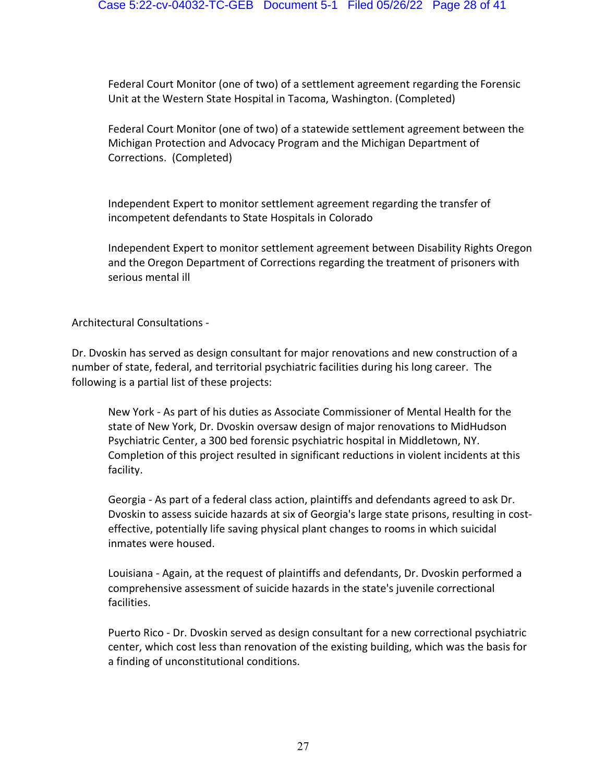Federal Court Monitor (one of two) of a settlement agreement regarding the Forensic Unit at the Western State Hospital in Tacoma, Washington. (Completed)

Federal Court Monitor (one of two) of a statewide settlement agreement between the Michigan Protection and Advocacy Program and the Michigan Department of Corrections. (Completed)

Independent Expert to monitor settlement agreement regarding the transfer of incompetent defendants to State Hospitals in Colorado

Independent Expert to monitor settlement agreement between Disability Rights Oregon and the Oregon Department of Corrections regarding the treatment of prisoners with serious mental ill

Architectural Consultations -

Dr. Dvoskin has served as design consultant for major renovations and new construction of a number of state, federal, and territorial psychiatric facilities during his long career. The following is a partial list of these projects:

New York - As part of his duties as Associate Commissioner of Mental Health for the state of New York, Dr. Dvoskin oversaw design of major renovations to MidHudson Psychiatric Center, a 300 bed forensic psychiatric hospital in Middletown, NY. Completion of this project resulted in significant reductions in violent incidents at this facility.

Georgia - As part of a federal class action, plaintiffs and defendants agreed to ask Dr. Dvoskin to assess suicide hazards at six of Georgia's large state prisons, resulting in costeffective, potentially life saving physical plant changes to rooms in which suicidal inmates were housed.

Louisiana - Again, at the request of plaintiffs and defendants, Dr. Dvoskin performed a comprehensive assessment of suicide hazards in the state's juvenile correctional facilities.

Puerto Rico - Dr. Dvoskin served as design consultant for a new correctional psychiatric center, which cost less than renovation of the existing building, which was the basis for a finding of unconstitutional conditions.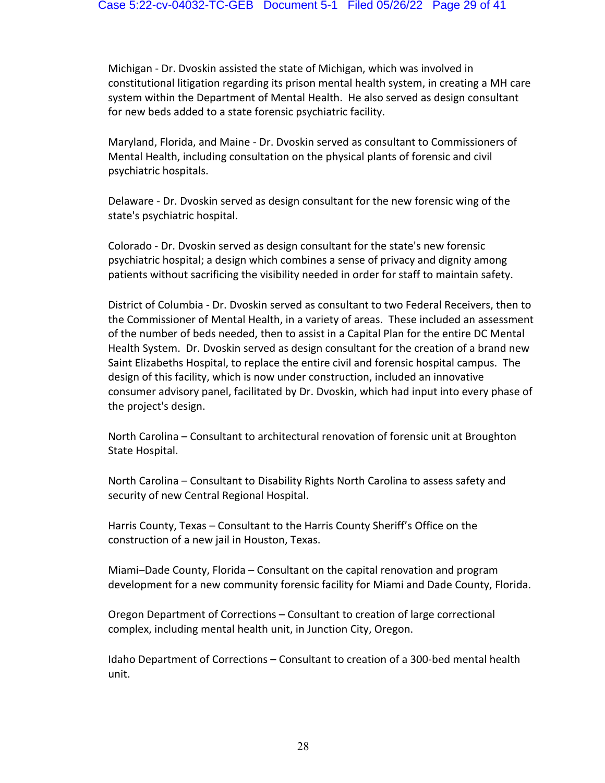Michigan - Dr. Dvoskin assisted the state of Michigan, which was involved in constitutional litigation regarding its prison mental health system, in creating a MH care system within the Department of Mental Health. He also served as design consultant for new beds added to a state forensic psychiatric facility.

Maryland, Florida, and Maine - Dr. Dvoskin served as consultant to Commissioners of Mental Health, including consultation on the physical plants of forensic and civil psychiatric hospitals.

Delaware - Dr. Dvoskin served as design consultant for the new forensic wing of the state's psychiatric hospital.

Colorado - Dr. Dvoskin served as design consultant for the state's new forensic psychiatric hospital; a design which combines a sense of privacy and dignity among patients without sacrificing the visibility needed in order for staff to maintain safety.

District of Columbia - Dr. Dvoskin served as consultant to two Federal Receivers, then to the Commissioner of Mental Health, in a variety of areas. These included an assessment of the number of beds needed, then to assist in a Capital Plan for the entire DC Mental Health System. Dr. Dvoskin served as design consultant for the creation of a brand new Saint Elizabeths Hospital, to replace the entire civil and forensic hospital campus. The design of this facility, which is now under construction, included an innovative consumer advisory panel, facilitated by Dr. Dvoskin, which had input into every phase of the project's design.

North Carolina – Consultant to architectural renovation of forensic unit at Broughton State Hospital.

North Carolina – Consultant to Disability Rights North Carolina to assess safety and security of new Central Regional Hospital.

Harris County, Texas – Consultant to the Harris County Sheriff's Office on the construction of a new jail in Houston, Texas.

Miami–Dade County, Florida – Consultant on the capital renovation and program development for a new community forensic facility for Miami and Dade County, Florida.

Oregon Department of Corrections – Consultant to creation of large correctional complex, including mental health unit, in Junction City, Oregon.

Idaho Department of Corrections – Consultant to creation of a 300-bed mental health unit.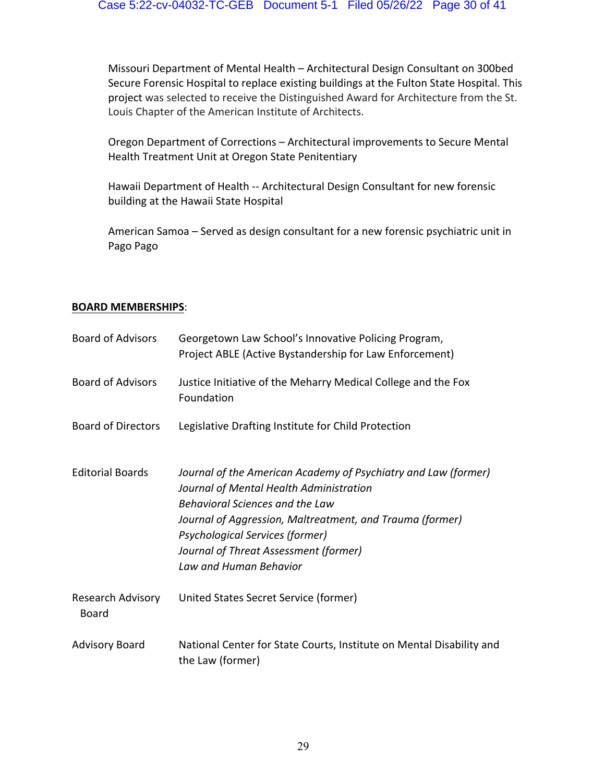Missouri Department of Mental Health – Architectural Design Consultant on 300bed Secure Forensic Hospital to replace existing buildings at the Fulton State Hospital. This project was selected to receive the Distinguished Award for Architecture from the St. Louis Chapter of the American Institute of Architects.

Oregon Department of Corrections – Architectural improvements to Secure Mental Health Treatment Unit at Oregon State Penitentiary

Hawaii Department of Health -- Architectural Design Consultant for new forensic building at the Hawaii State Hospital

American Samoa – Served as design consultant for a new forensic psychiatric unit in Pago Pago

## **BOARD MEMBERSHIPS**:

| <b>Board of Advisors</b>   | Georgetown Law School's Innovative Policing Program,<br>Project ABLE (Active Bystandership for Law Enforcement)                                                                                                                                                                                                       |
|----------------------------|-----------------------------------------------------------------------------------------------------------------------------------------------------------------------------------------------------------------------------------------------------------------------------------------------------------------------|
| <b>Board of Advisors</b>   | Justice Initiative of the Meharry Medical College and the Fox<br>Foundation                                                                                                                                                                                                                                           |
| <b>Board of Directors</b>  | Legislative Drafting Institute for Child Protection                                                                                                                                                                                                                                                                   |
| <b>Editorial Boards</b>    | Journal of the American Academy of Psychiatry and Law (former)<br>Journal of Mental Health Administration<br>Behavioral Sciences and the Law<br>Journal of Aggression, Maltreatment, and Trauma (former)<br><b>Psychological Services (former)</b><br>Journal of Threat Assessment (former)<br>Law and Human Behavior |
| Research Advisory<br>Board | United States Secret Service (former)                                                                                                                                                                                                                                                                                 |
| <b>Advisory Board</b>      | National Center for State Courts, Institute on Mental Disability and<br>the Law (former)                                                                                                                                                                                                                              |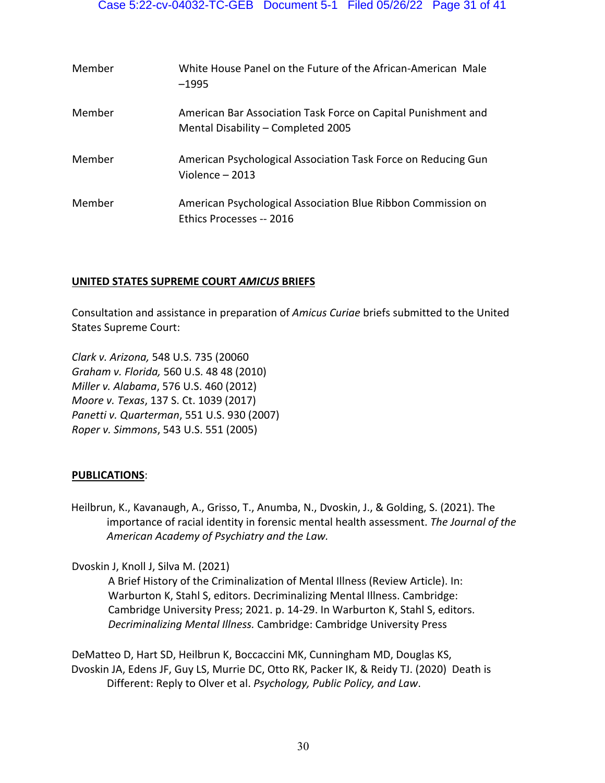| Member | White House Panel on the Future of the African-American Male<br>$-1995$                             |
|--------|-----------------------------------------------------------------------------------------------------|
| Member | American Bar Association Task Force on Capital Punishment and<br>Mental Disability - Completed 2005 |
| Member | American Psychological Association Task Force on Reducing Gun<br>Violence $-2013$                   |
| Member | American Psychological Association Blue Ribbon Commission on<br>Ethics Processes -- 2016            |

## **UNITED STATES SUPREME COURT** *AMICUS* **BRIEFS**

Consultation and assistance in preparation of *Amicus Curiae* briefs submitted to the United States Supreme Court:

*Clark v. Arizona,* 548 U.S. 735 (20060 *Graham v. Florida,* 560 U.S. 48 48 (2010) *Miller v. Alabama*, 576 U.S. 460 (2012) *Moore v. Texas*, 137 S. Ct. 1039 (2017) *Panetti v. Quarterman*, 551 U.S. 930 (2007) *Roper v. Simmons*, 543 U.S. 551 (2005)

## **PUBLICATIONS**:

Heilbrun, K., Kavanaugh, A., Grisso, T., Anumba, N., Dvoskin, J., & Golding, S. (2021). The importance of racial identity in forensic mental health assessment. *The Journal of the American Academy of Psychiatry and the Law.*

Dvoskin J, Knoll J, Silva M. (2021)

A Brief History of the Criminalization of Mental Illness (Review Article). In: Warburton K, Stahl S, editors. Decriminalizing Mental Illness. Cambridge: Cambridge University Press; 2021. p. 14-29. In Warburton K, Stahl S, editors. *Decriminalizing Mental Illness.* Cambridge: Cambridge University Press

DeMatteo D, Hart SD, Heilbrun K, Boccaccini MK, Cunningham MD, Douglas KS, Dvoskin JA, Edens JF, Guy LS, Murrie DC, Otto RK, Packer IK, & Reidy TJ. (2020) Death is Different: Reply to Olver et al. *Psychology, Public Policy, and Law*.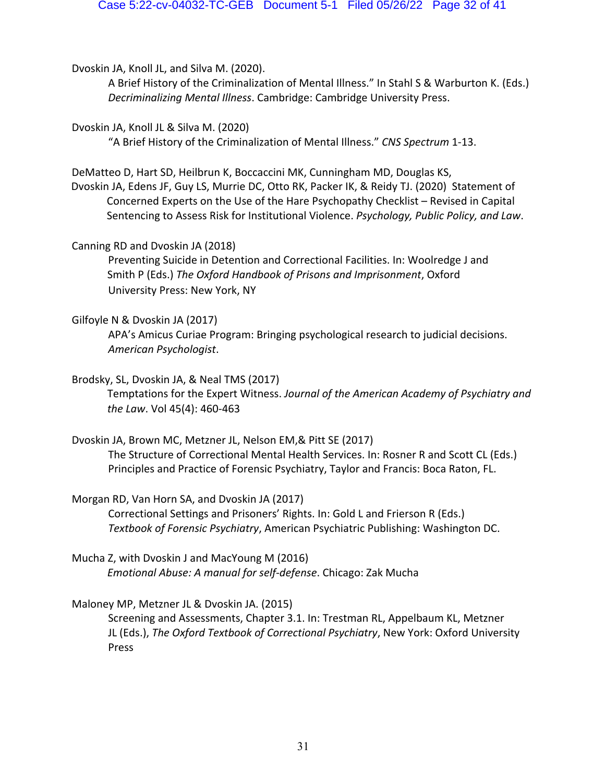Dvoskin JA, Knoll JL, and Silva M. (2020).

A Brief History of the Criminalization of Mental Illness." In Stahl S & Warburton K. (Eds.) *Decriminalizing Mental Illness*. Cambridge: Cambridge University Press.

Dvoskin JA, Knoll JL & Silva M. (2020)

"A Brief History of the Criminalization of Mental Illness." *CNS Spectrum* 1-13.

DeMatteo D, Hart SD, Heilbrun K, Boccaccini MK, Cunningham MD, Douglas KS,

Dvoskin JA, Edens JF, Guy LS, Murrie DC, Otto RK, Packer IK, & Reidy TJ. (2020) Statement of Concerned Experts on the Use of the Hare Psychopathy Checklist – Revised in Capital Sentencing to Assess Risk for Institutional Violence. *Psychology, Public Policy, and Law*.

Canning RD and Dvoskin JA (2018)

Preventing Suicide in Detention and Correctional Facilities. In: Woolredge J and Smith P (Eds.) *The Oxford Handbook of Prisons and Imprisonment*, Oxford University Press: New York, NY

## Gilfoyle N & Dvoskin JA (2017)

APA's Amicus Curiae Program: Bringing psychological research to judicial decisions. *American Psychologist*.

## Brodsky, SL, Dvoskin JA, & Neal TMS (2017)

Temptations for the Expert Witness. *Journal of the American Academy of Psychiatry and the Law*. Vol 45(4): 460-463

Dvoskin JA, Brown MC, Metzner JL, Nelson EM,& Pitt SE (2017)

The Structure of Correctional Mental Health Services. In: Rosner R and Scott CL (Eds.) Principles and Practice of Forensic Psychiatry, Taylor and Francis: Boca Raton, FL.

Morgan RD, Van Horn SA, and Dvoskin JA (2017)

Correctional Settings and Prisoners' Rights. In: Gold L and Frierson R (Eds.) *Textbook of Forensic Psychiatry*, American Psychiatric Publishing: Washington DC.

Mucha Z, with Dvoskin J and MacYoung M (2016) *Emotional Abuse: A manual for self-defense*. Chicago: Zak Mucha

## Maloney MP, Metzner JL & Dvoskin JA. (2015)

Screening and Assessments, Chapter 3.1. In: Trestman RL, Appelbaum KL, Metzner JL (Eds.), *The Oxford Textbook of Correctional Psychiatry*, New York: Oxford University Press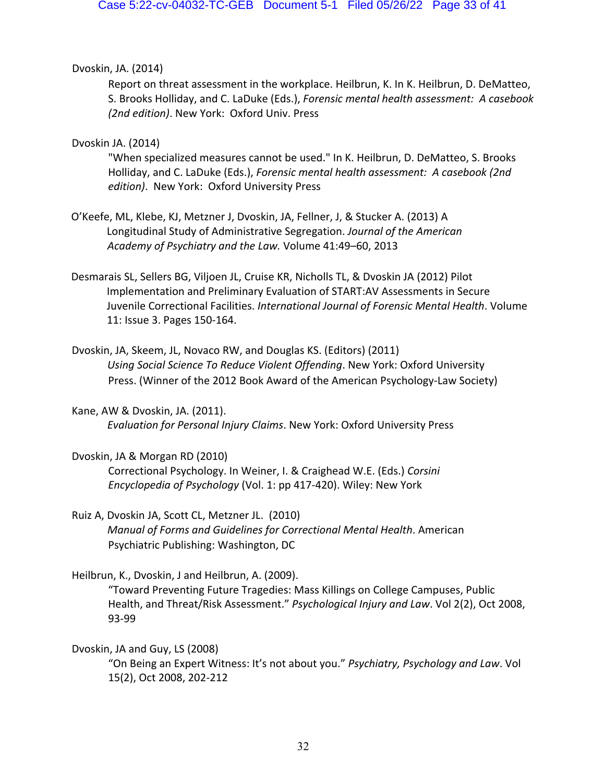## Dvoskin, JA. (2014)

Report on threat assessment in the workplace. Heilbrun, K. In K. Heilbrun, D. DeMatteo, S. Brooks Holliday, and C. LaDuke (Eds.), *Forensic mental health assessment: A casebook (2nd edition)*. New York: Oxford Univ. Press

## Dvoskin JA. (2014)

"When specialized measures cannot be used." In K. Heilbrun, D. DeMatteo, S. Brooks Holliday, and C. LaDuke (Eds.), *Forensic mental health assessment: A casebook (2nd edition)*. New York: Oxford University Press

- O'Keefe, ML, Klebe, KJ, Metzner J, Dvoskin, JA, Fellner, J, & Stucker A. (2013) A Longitudinal Study of Administrative Segregation. *Journal of the American Academy of Psychiatry and the Law.* Volume 41:49–60, 2013
- Desmarais SL, Sellers BG, Viljoen JL, Cruise KR, Nicholls TL, & Dvoskin JA (2012) Pilot Implementation and Preliminary Evaluation of START:AV Assessments in Secure Juvenile Correctional Facilities. *International Journal of Forensic Mental Health*. Volume 11: Issue 3. Pages 150-164.
- Dvoskin, JA, Skeem, JL, Novaco RW, and Douglas KS. (Editors) (2011) *Using Social Science To Reduce Violent Offending*. New York: Oxford University Press. (Winner of the 2012 Book Award of the American Psychology-Law Society)
- Kane, AW & Dvoskin, JA. (2011). *Evaluation for Personal Injury Claims*. New York: Oxford University Press
- Dvoskin, JA & Morgan RD (2010) Correctional Psychology. In Weiner, I. & Craighead W.E. (Eds.) *Corsini Encyclopedia of Psychology* (Vol. 1: pp 417-420). Wiley: New York
- Ruiz A, Dvoskin JA, Scott CL, Metzner JL. (2010) *Manual of Forms and Guidelines for Correctional Mental Health*. American Psychiatric Publishing: Washington, DC

Heilbrun, K., Dvoskin, J and Heilbrun, A. (2009).

"Toward Preventing Future Tragedies: Mass Killings on College Campuses, Public Health, and Threat/Risk Assessment." *Psychological Injury and Law*. Vol 2(2), Oct 2008, 93-99

## Dvoskin, JA and Guy, LS (2008)

"On Being an Expert Witness: It's not about you." *Psychiatry, Psychology and Law*. Vol 15(2), Oct 2008, 202-212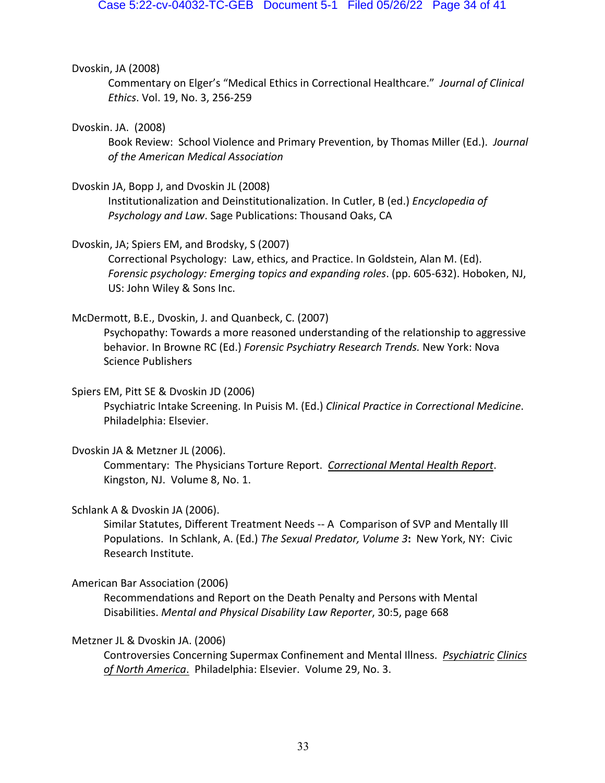#### Dvoskin, JA (2008)

Commentary on Elger's "Medical Ethics in Correctional Healthcare." *Journal of Clinical Ethics*. Vol. 19, No. 3, 256-259

#### Dvoskin. JA. (2008)

Book Review: School Violence and Primary Prevention, by Thomas Miller (Ed.). *Journal of the American Medical Association*

#### Dvoskin JA, Bopp J, and Dvoskin JL (2008)

Institutionalization and Deinstitutionalization. In Cutler, B (ed.) *Encyclopedia of Psychology and Law*. Sage Publications: Thousand Oaks, CA

Dvoskin, JA; Spiers EM, and Brodsky, S (2007)

Correctional Psychology: Law, ethics, and Practice. In Goldstein, Alan M. (Ed). *Forensic psychology: Emerging topics and expanding roles*. (pp. 605-632). Hoboken, NJ, US: John Wiley & Sons Inc.

#### McDermott, B.E., Dvoskin, J. and Quanbeck, C. (2007)

Psychopathy: Towards a more reasoned understanding of the relationship to aggressive behavior. In Browne RC (Ed.) *Forensic Psychiatry Research Trends.* New York: Nova Science Publishers

#### Spiers EM, Pitt SE & Dvoskin JD (2006)

Psychiatric Intake Screening. In Puisis M. (Ed.) *Clinical Practice in Correctional Medicine*. Philadelphia: Elsevier.

## Dvoskin JA & Metzner JL (2006).

Commentary: The Physicians Torture Report. *Correctional Mental Health Report*. Kingston, NJ. Volume 8, No. 1.

#### Schlank A & Dvoskin JA (2006).

Similar Statutes, Different Treatment Needs -- A Comparison of SVP and Mentally Ill Populations. In Schlank, A. (Ed.) *The Sexual Predator, Volume 3***:** New York, NY: Civic Research Institute.

#### American Bar Association (2006)

Recommendations and Report on the Death Penalty and Persons with Mental Disabilities. *Mental and Physical Disability Law Reporter*, 30:5, page 668

## Metzner JL & Dvoskin JA. (2006)

Controversies Concerning Supermax Confinement and Mental Illness. *Psychiatric Clinics of North America*. Philadelphia: Elsevier. Volume 29, No. 3.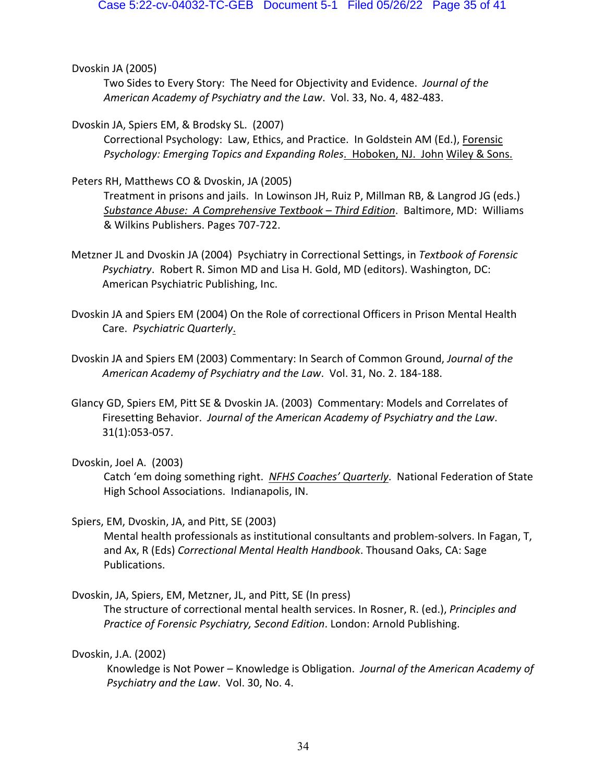Dvoskin JA (2005)

Two Sides to Every Story: The Need for Objectivity and Evidence. *Journal of the American Academy of Psychiatry and the Law*. Vol. 33, No. 4, 482-483.

Dvoskin JA, Spiers EM, & Brodsky SL. (2007)

Correctional Psychology: Law, Ethics, and Practice. In Goldstein AM (Ed.), Forensic *Psychology: Emerging Topics and Expanding Roles*. Hoboken, NJ. John Wiley & Sons.

Peters RH, Matthews CO & Dvoskin, JA (2005)

Treatment in prisons and jails. In Lowinson JH, Ruiz P, Millman RB, & Langrod JG (eds.) *Substance Abuse: A Comprehensive Textbook – Third Edition*. Baltimore, MD: Williams & Wilkins Publishers. Pages 707-722.

- Metzner JL and Dvoskin JA (2004) Psychiatry in Correctional Settings, in *Textbook of Forensic Psychiatry*. Robert R. Simon MD and Lisa H. Gold, MD (editors). Washington, DC: American Psychiatric Publishing, Inc.
- Dvoskin JA and Spiers EM (2004) On the Role of correctional Officers in Prison Mental Health Care. *Psychiatric Quarterly*.
- Dvoskin JA and Spiers EM (2003) Commentary: In Search of Common Ground, *Journal of the American Academy of Psychiatry and the Law*. Vol. 31, No. 2. 184-188.
- Glancy GD, Spiers EM, Pitt SE & Dvoskin JA. (2003) Commentary: Models and Correlates of Firesetting Behavior. *Journal of the American Academy of Psychiatry and the Law*. 31(1):053-057.

Dvoskin, Joel A. (2003)

Catch 'em doing something right. *NFHS Coaches' Quarterly*. National Federation of State High School Associations. Indianapolis, IN.

Spiers, EM, Dvoskin, JA, and Pitt, SE (2003)

Mental health professionals as institutional consultants and problem-solvers. In Fagan, T, and Ax, R (Eds) *Correctional Mental Health Handbook*. Thousand Oaks, CA: Sage Publications.

Dvoskin, JA, Spiers, EM, Metzner, JL, and Pitt, SE (In press)

The structure of correctional mental health services. In Rosner, R. (ed.), *Principles and Practice of Forensic Psychiatry, Second Edition*. London: Arnold Publishing.

Dvoskin, J.A. (2002)

Knowledge is Not Power – Knowledge is Obligation. *Journal of the American Academy of Psychiatry and the Law*. Vol. 30, No. 4.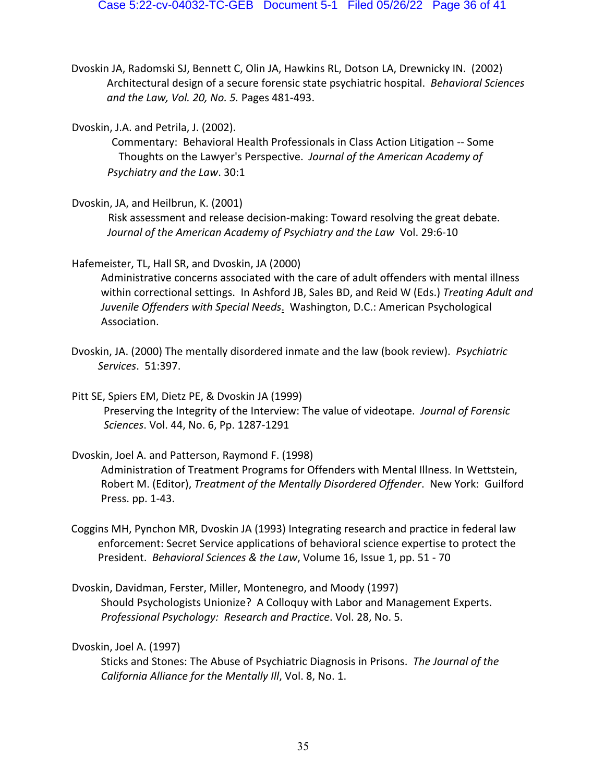- Dvoskin JA, Radomski SJ, Bennett C, Olin JA, Hawkins RL, Dotson LA, Drewnicky IN. (2002) Architectural design of a secure forensic state psychiatric hospital. *Behavioral Sciences and the Law, Vol. 20, No. 5.* Pages 481-493.
- Dvoskin, J.A. and Petrila, J. (2002).

Commentary: Behavioral Health Professionals in Class Action Litigation -- Some Thoughts on the Lawyer's Perspective. *Journal of the American Academy of Psychiatry and the Law*. 30:1

Dvoskin, JA, and Heilbrun, K. (2001)

Risk assessment and release decision-making: Toward resolving the great debate. *Journal of the American Academy of Psychiatry and the Law* Vol. 29:6-10

Hafemeister, TL, Hall SR, and Dvoskin, JA (2000)

Administrative concerns associated with the care of adult offenders with mental illness within correctional settings. In Ashford JB, Sales BD, and Reid W (Eds.) *Treating Adult and Juvenile Offenders with Special Needs*. Washington, D.C.: American Psychological Association.

Dvoskin, JA. (2000) The mentally disordered inmate and the law (book review). *Psychiatric Services*. 51:397.

Pitt SE, Spiers EM, Dietz PE, & Dvoskin JA (1999) Preserving the Integrity of the Interview: The value of videotape. *Journal of Forensic Sciences*. Vol. 44, No. 6, Pp. 1287-1291

Dvoskin, Joel A. and Patterson, Raymond F. (1998) Administration of Treatment Programs for Offenders with Mental Illness. In Wettstein, Robert M. (Editor), *Treatment of the Mentally Disordered Offender*. New York: Guilford Press. pp. 1-43.

- Coggins MH, Pynchon MR, Dvoskin JA (1993) Integrating research and practice in federal law enforcement: Secret Service applications of behavioral science expertise to protect the President. *Behavioral Sciences & the Law*, Volume 16, Issue 1, pp. 51 - 70
- Dvoskin, Davidman, Ferster, Miller, Montenegro, and Moody (1997) Should Psychologists Unionize? A Colloquy with Labor and Management Experts. *Professional Psychology: Research and Practice*. Vol. 28, No. 5.

## Dvoskin, Joel A. (1997)

Sticks and Stones: The Abuse of Psychiatric Diagnosis in Prisons. *The Journal of the California Alliance for the Mentally Ill*, Vol. 8, No. 1.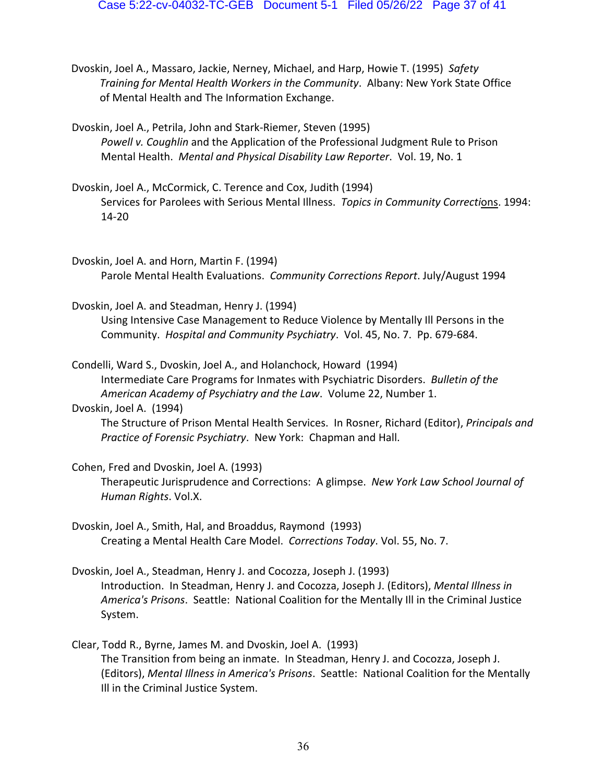Dvoskin, Joel A., Massaro, Jackie, Nerney, Michael, and Harp, Howie T. (1995) *Safety Training for Mental Health Workers in the Community*. Albany: New York State Office of Mental Health and The Information Exchange.

Dvoskin, Joel A., Petrila, John and Stark-Riemer, Steven (1995) *Powell v. Coughlin* and the Application of the Professional Judgment Rule to Prison Mental Health. *Mental and Physical Disability Law Reporter*. Vol. 19, No. 1

- Dvoskin, Joel A., McCormick, C. Terence and Cox, Judith (1994) Services for Parolees with Serious Mental Illness. *Topics in Community Correcti*ons. 1994: 14-20
- Dvoskin, Joel A. and Horn, Martin F. (1994) Parole Mental Health Evaluations. *Community Corrections Report*. July/August 1994

Dvoskin, Joel A. and Steadman, Henry J. (1994) Using Intensive Case Management to Reduce Violence by Mentally Ill Persons in the Community. *Hospital and Community Psychiatry*. Vol. 45, No. 7. Pp. 679-684.

Condelli, Ward S., Dvoskin, Joel A., and Holanchock, Howard (1994) Intermediate Care Programs for Inmates with Psychiatric Disorders. *Bulletin of the American Academy of Psychiatry and the Law*. Volume 22, Number 1.

## Dvoskin, Joel A. (1994)

The Structure of Prison Mental Health Services. In Rosner, Richard (Editor), *Principals and Practice of Forensic Psychiatry*. New York: Chapman and Hall.

Cohen, Fred and Dvoskin, Joel A. (1993)

Therapeutic Jurisprudence and Corrections: A glimpse. *New York Law School Journal of Human Rights*. Vol.X.

- Dvoskin, Joel A., Smith, Hal, and Broaddus, Raymond (1993) Creating a Mental Health Care Model. *Corrections Today*. Vol. 55, No. 7.
- Dvoskin, Joel A., Steadman, Henry J. and Cocozza, Joseph J. (1993) Introduction. In Steadman, Henry J. and Cocozza, Joseph J. (Editors), *Mental Illness in America's Prisons*. Seattle: National Coalition for the Mentally Ill in the Criminal Justice System.
- Clear, Todd R., Byrne, James M. and Dvoskin, Joel A. (1993) The Transition from being an inmate. In Steadman, Henry J. and Cocozza, Joseph J. (Editors), *Mental Illness in America's Prisons*. Seattle: National Coalition for the Mentally Ill in the Criminal Justice System.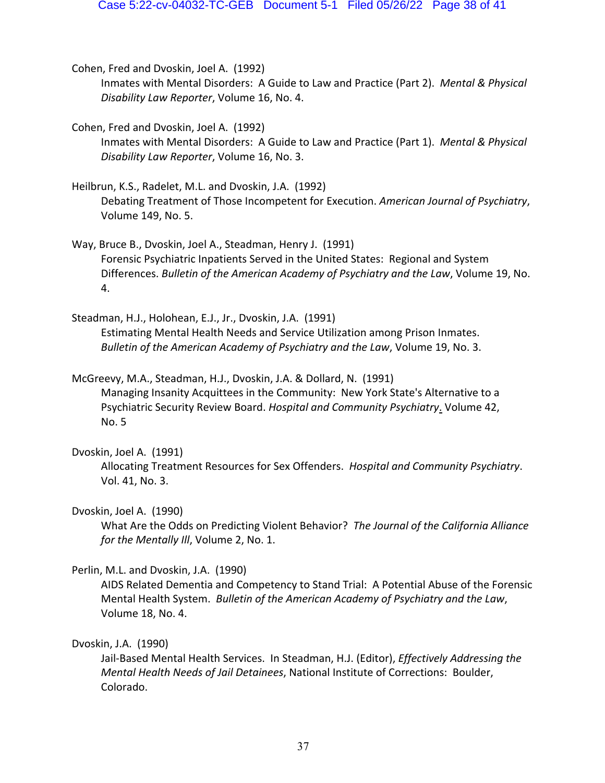- Cohen, Fred and Dvoskin, Joel A. (1992) Inmates with Mental Disorders: A Guide to Law and Practice (Part 2). *Mental & Physical Disability Law Reporter*, Volume 16, No. 4.
- Cohen, Fred and Dvoskin, Joel A. (1992) Inmates with Mental Disorders: A Guide to Law and Practice (Part 1). *Mental & Physical Disability Law Reporter*, Volume 16, No. 3.
- Heilbrun, K.S., Radelet, M.L. and Dvoskin, J.A. (1992) Debating Treatment of Those Incompetent for Execution. *American Journal of Psychiatry*, Volume 149, No. 5.
- Way, Bruce B., Dvoskin, Joel A., Steadman, Henry J. (1991) Forensic Psychiatric Inpatients Served in the United States: Regional and System Differences. *Bulletin of the American Academy of Psychiatry and the Law*, Volume 19, No. 4.
- Steadman, H.J., Holohean, E.J., Jr., Dvoskin, J.A. (1991) Estimating Mental Health Needs and Service Utilization among Prison Inmates. *Bulletin of the American Academy of Psychiatry and the Law*, Volume 19, No. 3.
- McGreevy, M.A., Steadman, H.J., Dvoskin, J.A. & Dollard, N. (1991) Managing Insanity Acquittees in the Community: New York State's Alternative to a Psychiatric Security Review Board. *Hospital and Community Psychiatry*. Volume 42, No. 5

## Dvoskin, Joel A. (1991)

Allocating Treatment Resources for Sex Offenders. *Hospital and Community Psychiatry*. Vol. 41, No. 3.

## Dvoskin, Joel A. (1990)

What Are the Odds on Predicting Violent Behavior? *The Journal of the California Alliance for the Mentally Ill*, Volume 2, No. 1.

## Perlin, M.L. and Dvoskin, J.A. (1990)

AIDS Related Dementia and Competency to Stand Trial: A Potential Abuse of the Forensic Mental Health System. *Bulletin of the American Academy of Psychiatry and the Law*, Volume 18, No. 4.

## Dvoskin, J.A. (1990)

Jail-Based Mental Health Services. In Steadman, H.J. (Editor), *Effectively Addressing the Mental Health Needs of Jail Detainees*, National Institute of Corrections: Boulder, Colorado.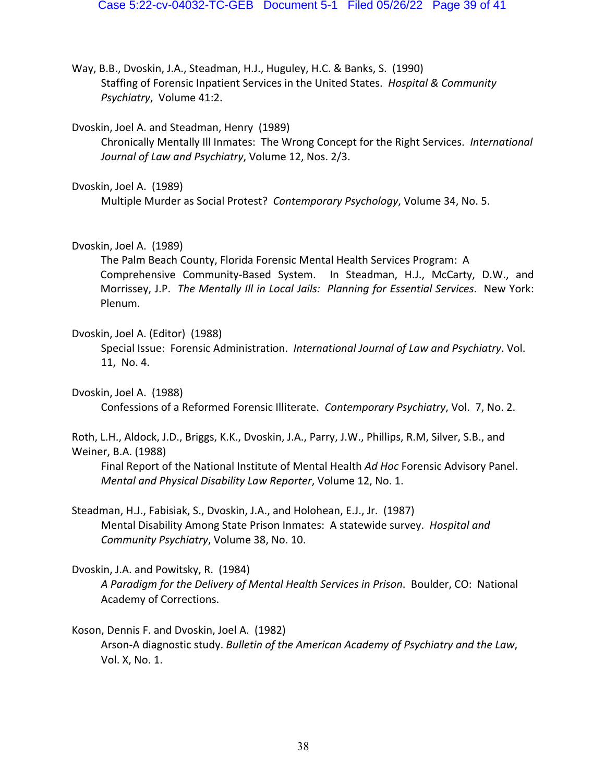Way, B.B., Dvoskin, J.A., Steadman, H.J., Huguley, H.C. & Banks, S. (1990) Staffing of Forensic Inpatient Services in the United States. *Hospital & Community Psychiatry*, Volume 41:2.

Dvoskin, Joel A. and Steadman, Henry (1989)

Chronically Mentally Ill Inmates: The Wrong Concept for the Right Services. *International Journal of Law and Psychiatry*, Volume 12, Nos. 2/3.

Dvoskin, Joel A. (1989)

Multiple Murder as Social Protest? *Contemporary Psychology*, Volume 34, No. 5.

Dvoskin, Joel A. (1989)

The Palm Beach County, Florida Forensic Mental Health Services Program: A Comprehensive Community-Based System. In Steadman, H.J., McCarty, D.W., and Morrissey, J.P. *The Mentally Ill in Local Jails: Planning for Essential Services*. New York: Plenum.

#### Dvoskin, Joel A. (Editor) (1988)

Special Issue: Forensic Administration. *International Journal of Law and Psychiatry*. Vol. 11, No. 4.

Dvoskin, Joel A. (1988)

Confessions of a Reformed Forensic Illiterate. *Contemporary Psychiatry*, Vol. 7, No. 2.

## Roth, L.H., Aldock, J.D., Briggs, K.K., Dvoskin, J.A., Parry, J.W., Phillips, R.M, Silver, S.B., and Weiner, B.A. (1988)

Final Report of the National Institute of Mental Health *Ad Hoc* Forensic Advisory Panel. *Mental and Physical Disability Law Reporter*, Volume 12, No. 1.

Steadman, H.J., Fabisiak, S., Dvoskin, J.A., and Holohean, E.J., Jr. (1987) Mental Disability Among State Prison Inmates: A statewide survey. *Hospital and Community Psychiatry*, Volume 38, No. 10.

## Dvoskin, J.A. and Powitsky, R. (1984)

*A Paradigm for the Delivery of Mental Health Services in Prison*. Boulder, CO: National Academy of Corrections.

## Koson, Dennis F. and Dvoskin, Joel A. (1982)

Arson-A diagnostic study. *Bulletin of the American Academy of Psychiatry and the Law*, Vol. X, No. 1.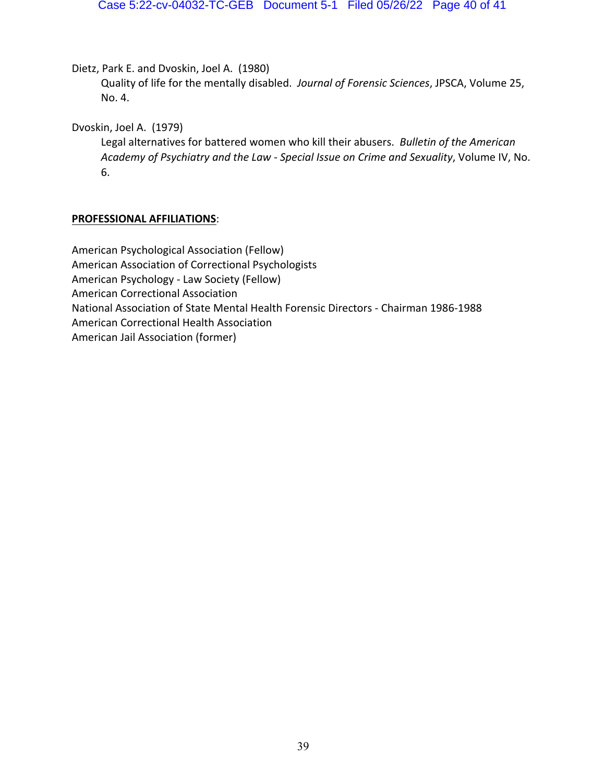Dietz, Park E. and Dvoskin, Joel A. (1980)

Quality of life for the mentally disabled. *Journal of Forensic Sciences*, JPSCA, Volume 25, No. 4.

Dvoskin, Joel A. (1979)

Legal alternatives for battered women who kill their abusers. *Bulletin of the American Academy of Psychiatry and the Law - Special Issue on Crime and Sexuality*, Volume IV, No. 6.

## **PROFESSIONAL AFFILIATIONS**:

American Psychological Association (Fellow) American Association of Correctional Psychologists American Psychology - Law Society (Fellow) American Correctional Association National Association of State Mental Health Forensic Directors - Chairman 1986-1988 American Correctional Health Association American Jail Association (former)